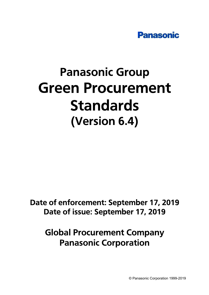

# **Panasonic Group Green Procurement Standards** (Version 6.4)

Date of enforcement: September 17, 2019 Date of issue: September 17, 2019

**Global Procurement Company Panasonic Corporation**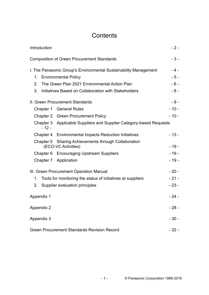## **Contents**

| Introduction      |                                                                                                 | $-2-$          |
|-------------------|-------------------------------------------------------------------------------------------------|----------------|
|                   | <b>Composition of Green Procurement Standards</b>                                               | $-3-$          |
| 1.                | I. The Panasonic Group's Environmental Sustainability Management<br><b>Environmental Policy</b> | $-4-$<br>$-5-$ |
| 2.                | The Green Plan 2021 Environmental Action Plan                                                   | $-6-$          |
| 3.                | Initiatives Based on Collaboration with Stakeholders                                            | $-8-$          |
|                   | II. Green Procurement Standards                                                                 | $-9-$          |
|                   | Chapter 1 General Rules                                                                         | $-10-$         |
|                   | <b>Chapter 2 Green Procurement Policy</b>                                                       | $-10-$         |
| $-12-$            | Chapter 3 Applicable Suppliers and Supplier Category-based Requests                             |                |
|                   | Chapter 4 Environmental Impacts Reduction Initiatives                                           | $-13-$         |
| Chapter 5         | <b>Sharing Achievements through Collaboration</b><br>(ECO-VC Activities)                        | $-19-$         |
|                   | Chapter 6 Encouraging Upstream Suppliers                                                        | $-19-$         |
|                   | Chapter 7 Application                                                                           | $-19-$         |
|                   | III. Green Procurement Operation Manual                                                         | $-20-$         |
| 1.                | Tools for monitoring the status of initiatives at suppliers                                     | $-21-$         |
| 2.                | Supplier evaluation principles                                                                  | $-23-$         |
| Appendix 1        |                                                                                                 | - 24 -         |
| <b>Appendix 2</b> |                                                                                                 | $-28-$         |
| Appendix 3        |                                                                                                 | $-30-$         |
|                   | <b>Green Procurement Standards Revision Record</b>                                              | $-32-$         |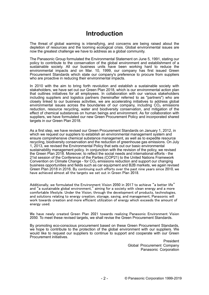## **Introduction**

The threat of global warming is intensifying, and concerns are being raised about the depletion of resources and the looming ecological crisis. Global environmental issues are now the greatest challenge we have to address as a global community.

The Panasonic Group formulated the Environmental Statement on June 5, 1991, stating our policy to contribute to the conservation of the global environment and establishment of a sustainable society. All our business units have been working hard to reduce the environmental impacts and on Mar. 10, 1999, our company has first issued Green Procurement Standards which state our company's preference to procure from suppliers who are proactive in reducing their environmental impacts.

In 2010 with the aim to bring forth revolution and establish a sustainable society with stakeholders, we have set out our Green Plan 2018, which is our environmental action plan that outlines initiatives for all employees. In collaboration with our various stakeholders including suppliers and logistics partners (hereinafter referred to as "partners") who are closely linked to our business activities, we are accelerating initiatives to address global environmental issues across the boundaries of our company, including  $CO<sub>2</sub>$  emissions reduction, resource recycling, water and biodiversity conservation, and mitigation of the effect of chemical substances on human beings and environment. As for collaboration with suppliers, we have formulated our new Green Procurement Policy and incorporated shared targets in our Green Plan 2018.

As a first step, we have revised our Green Procurement Standards on January 1, 2012, in which we request our suppliers to establish an environmental management system and ensure comprehensive chemical substance management, as well as to expedite resource recycling, biodiversity conservation and the reduction of greenhouse gas emissions. On July 1, 2013, we revised the Environmental Policy that sets out our basic environmental sustainability management policy. In conjunction with the revision of the policy, we revised the Green Plan 2018. Moreover, to reflect the social needs and international efforts - the 21st session of the Conference of the Parties (COP21) to the United Nations Framework Convention on Climate Change - for  $CO<sub>2</sub>$  emissions reduction and support our changing business opportunities and fields such as car equipment and B2B markets, we again revised Green Plan 2018 in 2016. By continuing such efforts over the past nine years since 2010, we have achieved almost all the targets we set out in Green Plan 2018.

Additionally, we formulated the Environment Vision 2050 in 2017 to achieve "a better life" and "a sustainable global environment," aiming for a society with clean energy and a more comfortable lifestyle. Under the Vision, through the development of products, technologies, and solutions relating to energy creation, storage, saving, and management, Panasonic will work towards creation and more efficient utilization of energy which exceeds the amount of energy used.

We have newly created Green Plan 2021 towards realizing Panasonic Environment Vision 2050. To meet these revised targets, we shall revise the Green Procurement Standards.

By promoting eco-conscious procurement based on these Green Procurement Standards, we hope to contribute to the protection of the global environment with our suppliers. We would like to request our suppliers to continue to support and cooperate with our Green Procurement initiatives.

> President Global Procurement Company Panasonic Corporation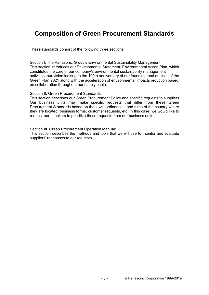## **Composition of Green Procurement Standards**

These standards consist of the following three sections.

Section I. The Panasonic Group's Environmental Sustainability Management: This section introduces our Environmental Statement, Environmental Action Plan, which constitutes the core of our company's environmental sustainability management activities, our vision looking to the 100th anniversary of our founding, and outlines of the Green Plan 2021 along with the acceleration of environmental impacts reduction based on collaboration throughout our supply chain.

Section II. Green Procurement Standards:

This section describes our Green Procurement Policy and specific requests to suppliers. Our business units may make specific requests that differ from these Green Procurement Standards based on the laws, ordinances, and rules of the country where they are located, business forms, customer requests, etc. In this case, we would like to request our suppliers to prioritize these requests from our business units.

Section III. Green Procurement Operation Manual:

This section describes the methods and tools that we will use to monitor and evaluate suppliers' responses to our requests.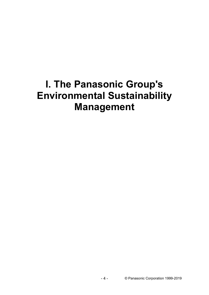## **I. The Panasonic Group's Environmental Sustainability Management**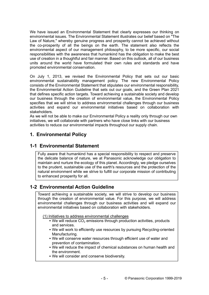We have issued an Environmental Statement that clearly expresses our thinking on environmental issues. The Environmental Statement illustrates our belief based on "The Law of Nature," whereby genuine progress and prosperity cannot be achieved without the co-prosperity of all the beings on the earth. The statement also reflects the environmental aspect of our management philosophy, to be more specific, our social responsibilities with the awareness that humankind has the obligation to make the best use of creation in a thoughtful and fair manner. Based on this outlook, all of our business units around the world have formulated their own rules and standards and have promoted environmental conservation.

On July 1, 2013, we revised the Environmental Policy that sets out our basic environmental sustainability management policy. The new Environmental Policy consists of the Environmental Statement that stipulates our environmental responsibility, the Environmental Action Guideline that sets out our goals, and the Green Plan 2021 that defines specific action targets. Toward achieving a sustainable society and develop our business through the creation of environmental value, the Environmental Policy specifies that we will strive to address environmental challenges through our business activities and expand our environmental initiatives based on collaboration with stakeholders.

As we will not be able to make our Environmental Policy a reality only through our own initiatives, we will collaborate with partners who have close links with our business activities to reduce our environmental impacts throughout our supply chain.

## **1. Environmental Policy**

### **1-1 Environmental Statement**

Fully aware that humankind has a special responsibility to respect and preserve the delicate balance of nature, we at Panasonic acknowledge our obligation to maintain and nurture the ecology of this planet. Accordingly, we pledge ourselves to the prudent, sustainable use of the earth's resources and the protection of the natural environment while we strive to fulfill our corporate mission of contributing to enhanced prosperity for all.

### **1-2 Environmental Action Guideline**

Toward achieving a sustainable society, we will strive to develop our business through the creation of environmental value. For this purpose, we will address environmental challenges through our business activities and will expand our environmental initiatives based on collaboration with stakeholders.

(1) Initiatives to address environmental challenges

- $\bullet$  We will reduce  $CO<sub>2</sub>$  emissions through production activities, products and services.
- We will work to efficiently use resources by pursuing Recycling-oriented Manufacturing.
- We will conserve water resources through efficient use of water and prevention of contamination.
- We will reduce the impact of chemical substances on human health and the environment.
- We will consider and conserve biodiversity.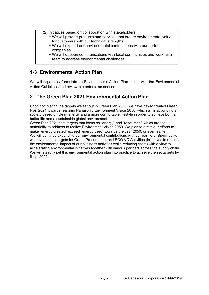(2) Initiatives based on collaboration with stakeholders

- We will provide products and services that create environmental value for customers with our technical strengths.
- We will expand our environmental contributions with our partner companies.
- We will deepen communications with local communities and work as a team to address environmental challenges.

## **1-3 Environmental Action Plan**

We will separately formulate an Environmental Action Plan in line with the Environmental Action Guidelines and review its contents as needed.

## **2. The Green Plan 2021 Environmental Action Plan**

Upon completing the targets we set out in Green Plan 2018, we have newly created Green Plan 2021 towards realizing Panasonic Environment Vision 2050, which aims at building a society based on clean energy and a more comfortable lifestyle in order to achieve both a better life and a sustainable global environment.

Green Plan 2021 sets targets that focus on "energy" and "resources," which are the materiality to address to realize Environment Vision 2050. We plan to direct our efforts to make "energy created" exceed "energy used" towards the year 2050, or even earlier. We will continue expanding our environmental contributions with our partners. Specifically, we have set the targets for Green Procurement and ECO-VC Activities (initiatives to reduce the environmental impact of our business activities while reducing costs) with a view to accelerating environmental initiatives together with various partners across the supply chain. We will steadily put this environmental action plan into practice to achieve the set targets by fiscal 2022.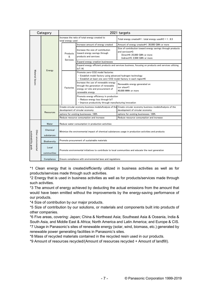| Category                                   |        | 2021 targets           |  |                                                                                                                                                                      |                                                                                                                                        |                                                                                                                                                  |  |  |
|--------------------------------------------|--------|------------------------|--|----------------------------------------------------------------------------------------------------------------------------------------------------------------------|----------------------------------------------------------------------------------------------------------------------------------------|--------------------------------------------------------------------------------------------------------------------------------------------------|--|--|
|                                            |        |                        |  | total energy used                                                                                                                                                    | Increase the ratio of total energy created to                                                                                          | Total energy created*1 : total energy used*2 = 1 : 8.5                                                                                           |  |  |
|                                            |        |                        |  |                                                                                                                                                                      | Increase amount of energy created                                                                                                      | Amount of energy created*1: 30,000 GWh or more                                                                                                   |  |  |
|                                            |        |                        |  | Products<br>&                                                                                                                                                        | Increase the size of contribution<br>toward energy savings through<br>products and services                                            | Size of contribution toward energy savings through products<br>and services*3:<br>Direct*4: 25,000 GWh or more<br>Indirect*5: 2.000 GWh or more  |  |  |
|                                            |        |                        |  | Services                                                                                                                                                             | Expand energy creation businesses                                                                                                      |                                                                                                                                                  |  |  |
| Material Issues                            | Energy |                        |  | IoT/AI                                                                                                                                                               | Expand energy efficient products and services business, focusing on products and services utilizing                                    |                                                                                                                                                  |  |  |
|                                            |        |                        |  | Promote zero-CO2 model factories<br>- Establish model factory using advanced hydrogen technology<br>- Establish at least one zero-CO2 model factory in each region*6 |                                                                                                                                        |                                                                                                                                                  |  |  |
|                                            |        |                        |  | Factories                                                                                                                                                            | Increase the use of renewable energy<br>through the generation of renewable<br>energy on-site and procurement of<br>renewable energy   | Renewable energy generated on<br>our sites*7:<br>40,000 MWh or more                                                                              |  |  |
|                                            |        |                        |  |                                                                                                                                                                      | Promote energy efficiency in production<br>- Reduce energy loss through IoT<br>- Improve productivity through manufacturing innovation |                                                                                                                                                  |  |  |
|                                            |        |                        |  |                                                                                                                                                                      | development of circular economy                                                                                                        | Create circular economy business modelsAnalysis of the Create circular economy business modelsAnalysis of the<br>development of circular economy |  |  |
|                                            |        | <b>Resources</b>       |  |                                                                                                                                                                      | options for existing businesses: 100%                                                                                                  | options for existing businesses: 100%                                                                                                            |  |  |
|                                            |        |                        |  |                                                                                                                                                                      | Reduce resource consumption and increase                                                                                               | Reduce resource consumption and increase                                                                                                         |  |  |
|                                            |        | Water                  |  |                                                                                                                                                                      | Reduce water consumption in production activities                                                                                      |                                                                                                                                                  |  |  |
|                                            |        | Chemical<br>substances |  |                                                                                                                                                                      |                                                                                                                                        | Minimize the environmental impact of chemical substances usage in production activities and products                                             |  |  |
|                                            |        |                        |  |                                                                                                                                                                      |                                                                                                                                        |                                                                                                                                                  |  |  |
|                                            |        | <b>Biodiversity</b>    |  |                                                                                                                                                                      | Promote procurement of sustainable materials                                                                                           |                                                                                                                                                  |  |  |
| Other environmenta<br>sustainability goals |        | Local<br>communities   |  |                                                                                                                                                                      |                                                                                                                                        | Promote environmental initiatives to contribute to local communities and educate the next generation                                             |  |  |
|                                            |        | Compliance             |  |                                                                                                                                                                      | Ensure compliance with environmental laws and regulations                                                                              |                                                                                                                                                  |  |  |

\*1 Clean energy that is created/efficiently utilized in business activities as well as for products/services made through such activities.

\*2 Energy that is used in business activities as well as for products/services made through such activities.

\*3 The amount of energy achieved by deducting the actual emissions from the amount that would have been emitted without the improvements by the energy-saving performance of our products.

\*4 Size of contribution by our major products.

\*5 Size of contribution by our solutions, or materials and components built into products of other companies.

\*6 Five areas, covering: Japan; China & Northeast Asia; Southeast Asia & Oceania, India & South Asia, and Middle East & Africa; North America and Latin America; and Europe & CIS. \*7 Usage in Panasonic's sites of renewable energy (solar, wind, biomass, etc.) generated by renewable power generating facilities in Panasonic's sites.

\*8 Mass of recycled materials contained in the recycled resin used in our products.

\*9 Amount of resources recycled/(Amount of resources recycled + Amount of landfill).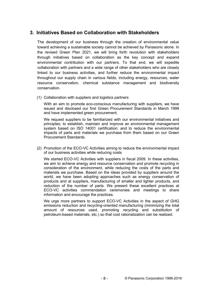### **3. Initiatives Based on Collaboration with Stakeholders**

The development of our business through the creation of environmental value toward achieving a sustainable society cannot be achieved by Panasonic alone. In the revised Green Plan 2021, we will bring forth revolution with stakeholders through initiatives based on collaboration as the key concept and expand environmental contribution with our partners. To that end, we will expedite collaboration with partners and a wide range of other stakeholders who are closely linked to our business activities, and further reduce the environmental impact throughout our supply chain in various fields, including energy, resources, water resource conservation, chemical substance management and biodiversity conservation.

(1) Collaboration with suppliers and logistics partners

With an aim to promote eco-conscious manufacturing with suppliers, we have issued and disclosed our first Green Procurement Standards in March 1999 and have implemented green procurement.

We request suppliers to be familiarized with our environmental initiatives and principles; to establish, maintain and improve an environmental management system based on ISO 14001 certification; and to reduce the environmental impacts of parts and materials we purchase from them based on our Green Procurement Standards.

(2) Promotion of the ECO-VC Activities aiming to reduce the environmental impact of our business activities while reducing costs

We started ECO-VC Activities with suppliers in fiscal 2009. In these activities, we aim to achieve energy and resource conservation and promote recycling in consideration of the environment, while reducing the costs of the parts and materials we purchase. Based on the ideas provided by suppliers around the world, we have been adopting approaches such as energy conservation of products and at suppliers, manufacturing of smaller and lighter products, and reduction of the number of parts. We present these excellent practices at ECO-VC activities commendation ceremonies and meetings to share information and encourage the practices.

We urge more partners to support ECO-VC Activities in the aspect of GHG emissions reduction and recycling-oriented manufacturing (minimizing the total amount of resources used, promoting recycling and substitution of petroleum-based materials, etc.) so that cost rationalization can be realized.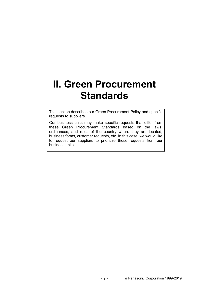## **II. Green Procurement Standards**

This section describes our Green Procurement Policy and specific requests to suppliers.

Our business units may make specific requests that differ from these Green Procurement Standards based on the laws, ordinances, and rules of the country where they are located, business forms, customer requests, etc. In this case, we would like to request our suppliers to prioritize these requests from our business units.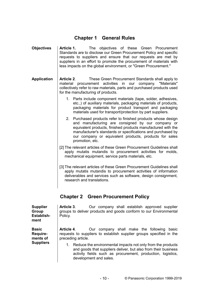### **Chapter 1 General Rules**

**Objectives Article 1.** The objectives of these Green Procurement Standards are to disclose our Green Procurement Policy and specific requests to suppliers and ensure that our requests are met by suppliers in an effort to promote the procurement of materials with less impacts on the global environment, or "Green Procurement." **Application Article 2**. These Green Procurement Standards shall apply to material procurement activities in our company. "Materials" collectively refer to raw materials, parts and purchased products used for the manufacturing of products. 1. Parts include component materials (tape, solder, adhesives, etc.,) of auxiliary materials, packaging materials of products, packaging materials for product transport and packaging materials used for transport/protection by part suppliers. 2. Purchased products refer to finished products whose design and manufacturing are consigned by our company or equivalent products, finished products manufactured with the manufacturer's standards or specifications and purchased by our company or equivalent products, products for sales promotion, etc. [2] The relevant articles of these Green Procurement Guidelines shall apply mutatis mutandis to procurement activities for molds, mechanical equipment, service parts materials, etc. [3] The relevant articles of these Green Procurement Guidelines shall apply mutatis mutandis to procurement activities of information deliverables and services such as software, design consignment, research and translations. **Chapter 2 Green Procurement Policy Supplier Group Establishment Article 3**. Our company shall establish approved supplier groups to deliver products and goods conform to our Environmental Policy.

> **Article 4**. Our company shall make the following basic requests to suppliers to establish supplier groups specified in the preceding article.

**Basic Requirements of Suppliers**

1. Reduce the environmental impacts not only from the products and goods that suppliers deliver, but also from their business activity fields such as procurement, production, logistics, development and sales.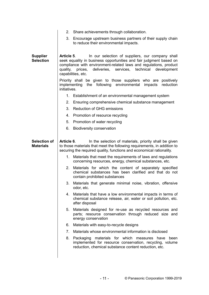|                                         | 2. Share achievements through collaboration.                                                                                                                                                                                                                                                                                                                                                                                               |
|-----------------------------------------|--------------------------------------------------------------------------------------------------------------------------------------------------------------------------------------------------------------------------------------------------------------------------------------------------------------------------------------------------------------------------------------------------------------------------------------------|
|                                         | 3. Encourage upstream business partners of their supply chain<br>to reduce their environmental impacts.                                                                                                                                                                                                                                                                                                                                    |
| <b>Supplier</b><br><b>Selection</b>     | Article 5.<br>In our selection of suppliers, our company shall<br>seek equality in business opportunities and fair judgment based on<br>compliance with environment-related laws and regulations, product<br>deliveries, services, technical development<br>prices,<br>quality,<br>capabilities, etc.<br>Priority shall be given to those suppliers who are positively<br>implementing<br>the following environmental impacts<br>reduction |
|                                         | initiatives.                                                                                                                                                                                                                                                                                                                                                                                                                               |
|                                         | 1. Establishment of an environmental management system                                                                                                                                                                                                                                                                                                                                                                                     |
|                                         | 2.<br>Ensuring comprehensive chemical substance management                                                                                                                                                                                                                                                                                                                                                                                 |
|                                         | 3.<br><b>Reduction of GHG emissions</b>                                                                                                                                                                                                                                                                                                                                                                                                    |
|                                         | 4. Promotion of resource recycling                                                                                                                                                                                                                                                                                                                                                                                                         |
|                                         | 5.<br>Promotion of water recycling                                                                                                                                                                                                                                                                                                                                                                                                         |
|                                         | 6.<br><b>Biodiversity conservation</b>                                                                                                                                                                                                                                                                                                                                                                                                     |
| <b>Selection of</b><br><b>Materials</b> | In the selection of materials, priority shall be given<br>Article 6.<br>to those materials that meet the following requirements, in addition to<br>securing the required quality, functions and economical rationality.                                                                                                                                                                                                                    |
|                                         | Materials that meet the requirements of laws and regulations<br>1.<br>concerning resources, energy, chemical substances, etc.                                                                                                                                                                                                                                                                                                              |
|                                         | 2.<br>Materials for which the content of separately specified<br>chemical substances has been clarified and that do not<br>contain prohibited substances                                                                                                                                                                                                                                                                                   |
|                                         | 3.<br>Materials that generate minimal noise, vibration, offensive<br>odor, etc.                                                                                                                                                                                                                                                                                                                                                            |
|                                         | 4.<br>Materials that have a low environmental impacts in terms of<br>chemical substance release, air, water or soil pollution, etc.<br>after disposal                                                                                                                                                                                                                                                                                      |
|                                         | 5.<br>Materials designed for re-use as recycled resources and<br>parts; resource conservation through reduced size and<br>energy conservation                                                                                                                                                                                                                                                                                              |
|                                         | Materials with easy-to-recycle designs<br>6.                                                                                                                                                                                                                                                                                                                                                                                               |
|                                         | 7.<br>Materials whose environmental information is disclosed                                                                                                                                                                                                                                                                                                                                                                               |
|                                         | 8.<br>Packaging materials for which measures have been<br>implemented for resource conservation, recycling, volume<br>reduction, chemical substance content reduction, etc.                                                                                                                                                                                                                                                                |
|                                         |                                                                                                                                                                                                                                                                                                                                                                                                                                            |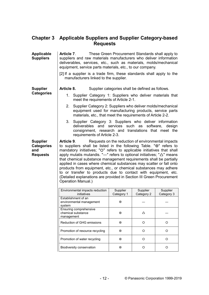### **Chapter 3 Applicable Suppliers and Supplier Category-based Requests**

| <b>Applicable</b><br><b>Suppliers</b>                          | <b>Article 7.</b><br>These Green Procurement Standards shall apply to<br>suppliers and raw materials manufacturers who deliver information<br>deliverables, services, etc., such as materials, molds/mechanical<br>equipment, service parts materials, etc., to our company.<br>[2] If a supplier is a trade firm, these standards shall apply to the                                                                                                                                                                                                                                                                                                                                      |                        |                        |                        |  |  |  |  |  |
|----------------------------------------------------------------|--------------------------------------------------------------------------------------------------------------------------------------------------------------------------------------------------------------------------------------------------------------------------------------------------------------------------------------------------------------------------------------------------------------------------------------------------------------------------------------------------------------------------------------------------------------------------------------------------------------------------------------------------------------------------------------------|------------------------|------------------------|------------------------|--|--|--|--|--|
|                                                                | manufacturers linked to the supplier.                                                                                                                                                                                                                                                                                                                                                                                                                                                                                                                                                                                                                                                      |                        |                        |                        |  |  |  |  |  |
| <b>Supplier</b>                                                | Article 8.<br>Supplier categories shall be defined as follows.                                                                                                                                                                                                                                                                                                                                                                                                                                                                                                                                                                                                                             |                        |                        |                        |  |  |  |  |  |
| <b>Categories</b>                                              | Supplier Category 1: Suppliers who deliver materials that<br>1.<br>meet the requirements of Article 2-1.                                                                                                                                                                                                                                                                                                                                                                                                                                                                                                                                                                                   |                        |                        |                        |  |  |  |  |  |
|                                                                | Supplier Category 2: Suppliers who deliver molds/mechanical<br>2.<br>equipment used for manufacturing products, service parts<br>materials, etc., that meet the requirements of Article 2-2.                                                                                                                                                                                                                                                                                                                                                                                                                                                                                               |                        |                        |                        |  |  |  |  |  |
|                                                                | 3.<br>Supplier Category 3: Suppliers who deliver information<br>deliverables and services such as software, design<br>consignment, research and translations that meet the<br>requirements of Article 2-3.                                                                                                                                                                                                                                                                                                                                                                                                                                                                                 |                        |                        |                        |  |  |  |  |  |
| <b>Supplier</b><br><b>Categories</b><br>and<br><b>Requests</b> | Requests on the reduction of environmental impacts<br>Article 9.<br>to suppliers shall be listed in the following Table. "O" refers to<br>mandatory initiatives; "O" refers to applicable initiatives that shall<br>apply mutatis mutandis. " $-$ " refers to optional initiatives; " $\triangle$ " means<br>that chemical substance management requirements shall be partially<br>applied in cases where chemical substances may scatter or fall onto<br>products from equipment, etc., or chemical substances may adhere<br>to or transfer to products due to contact with equipment, etc.<br>(Detailed explanations are provided in Section III Green Procurement<br>Operation Manual.) |                        |                        |                        |  |  |  |  |  |
|                                                                | Environmental impacts reduction<br>initiatives                                                                                                                                                                                                                                                                                                                                                                                                                                                                                                                                                                                                                                             | Supplier<br>Category 1 | Supplier<br>Category 2 | Supplier<br>Category 3 |  |  |  |  |  |
|                                                                | Establishment of an<br>environmental management<br>system                                                                                                                                                                                                                                                                                                                                                                                                                                                                                                                                                                                                                                  | ⊙                      |                        |                        |  |  |  |  |  |
|                                                                | Ensuring comprehensive<br>chemical substance<br>management                                                                                                                                                                                                                                                                                                                                                                                                                                                                                                                                                                                                                                 | ⊙                      | Δ                      |                        |  |  |  |  |  |
|                                                                | Reduction of GHG emissions                                                                                                                                                                                                                                                                                                                                                                                                                                                                                                                                                                                                                                                                 | $\odot$                | $\circ$                | $\circ$                |  |  |  |  |  |
|                                                                | Promotion of resource recycling                                                                                                                                                                                                                                                                                                                                                                                                                                                                                                                                                                                                                                                            | $\odot$                | $\circ$                | $\circ$                |  |  |  |  |  |
|                                                                | Promotion of water recycling                                                                                                                                                                                                                                                                                                                                                                                                                                                                                                                                                                                                                                                               | ⊙                      | $\circ$                | $\circ$                |  |  |  |  |  |
|                                                                | <b>Biodiversity conservation</b>                                                                                                                                                                                                                                                                                                                                                                                                                                                                                                                                                                                                                                                           | $_{\odot}$             | $\circ$                | $\circ$                |  |  |  |  |  |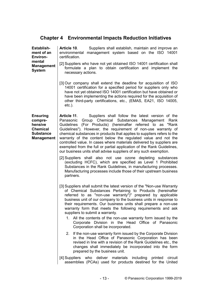## **Chapter 4 Environmental Impacts Reduction Initiatives**

| <b>Establish-</b><br>ment of an<br><b>Environ-</b>                                                | Article 10.<br>Suppliers shall establish, maintain and improve an<br>environmental management system based on the ISO 14001<br>certification.                                                                                                                                                                                                                                                                                                                                                                                                                                                                               |
|---------------------------------------------------------------------------------------------------|-----------------------------------------------------------------------------------------------------------------------------------------------------------------------------------------------------------------------------------------------------------------------------------------------------------------------------------------------------------------------------------------------------------------------------------------------------------------------------------------------------------------------------------------------------------------------------------------------------------------------------|
| mental<br><b>Management</b><br><b>System</b>                                                      | [2] Suppliers who have not yet obtained ISO 14001 certification shall<br>formulate a plan to obtain certification and implement the<br>necessary actions.                                                                                                                                                                                                                                                                                                                                                                                                                                                                   |
|                                                                                                   | [3] Our company shall extend the deadline for acquisition of ISO<br>14001 certification for a specified period for suppliers only who<br>have not yet obtained ISO 14001 certification but have obtained or<br>have been implementing the actions required for the acquisition of<br>other third-party certifications, etc., (EMAS, EA21, ISO 14005,<br>$etc.$ ).                                                                                                                                                                                                                                                           |
| <b>Ensuring</b><br>compre-<br>hensive<br><b>Chemical</b><br><b>Substance</b><br><b>Management</b> | Article 11.<br>Suppliers shall follow the latest version of the<br>Group Chemical Substances Management Rank<br>Panasonic<br>Guidelines (For Products) (hereinafter referred to as "Rank<br>Guidelines"). However, the requirement of non-use warranty of<br>chemical substances in products that applies to suppliers refers to the<br>warranty of the content below the regulated value and not the<br>controlled value. In cases where materials delivered by suppliers are<br>exempted from the full or partial application of the Rank Guidelines,<br>our business units shall advise suppliers of any such exemption. |
|                                                                                                   | [2] Suppliers shall also not use ozone depleting substances<br>(excluding HCFC), which are specified as Level 1 Prohibited<br>Substances in the Rank Guidelines, in manufacturing processes.<br>Manufacturing processes include those of their upstream business<br>partners.                                                                                                                                                                                                                                                                                                                                               |
|                                                                                                   | [3] Suppliers shall submit the latest version of the "Non-use Warranty<br>of Chemical Substances Pertaining to Products (hereinafter<br>referred to as "non-use warranty")" prepared by applicable<br>business unit of our company to the business units in response to<br>their requirements. Our business units shall prepare a non-use<br>warranty form that meets the following requirements and ask<br>suppliers to submit a warranty.<br>All the contents of the non-use warranty form issued by the<br>1.<br>Corporate Division in the Head Office of Panasonic                                                      |
|                                                                                                   | Corporation shall be incorporated.                                                                                                                                                                                                                                                                                                                                                                                                                                                                                                                                                                                          |
|                                                                                                   | 2. If the non-use warranty form issued by the Corporate Division<br>in the Head Office of Panasonic Corporation has been<br>revised in line with a revision of the Rank Guidelines etc., the<br>changes shall immediately be incorporated into the form<br>prepared by the business unit.                                                                                                                                                                                                                                                                                                                                   |
|                                                                                                   | [4] Suppliers who deliver materials including<br>printed<br>circuit<br>assemblies (PCAs) used for products destined for the United                                                                                                                                                                                                                                                                                                                                                                                                                                                                                          |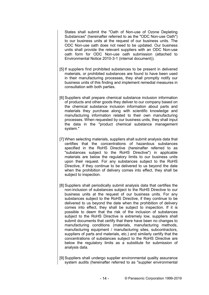States shall submit the "Oath of Non-use of Ozone Depleting Substances" (hereinafter referred to as the "ODC Non-use Oath") to our business units at the request of our business units. The ODC Non-use oath does not need to be updated. Our business units shall provide the relevant suppliers with an ODC Non-use oath form for ODC Non-use oath submission (attached to Environmental Notice 2010-3-1 (internal document)).

- [5] If suppliers find prohibited substances to be present in delivered materials, or prohibited substances are found to have been used in their manufacturing processes, they shall promptly notify our business units of this finding and implement remedial measures in consultation with both parties.
- [6] Suppliers shall prepare chemical substance inclusion information of products and other goods they deliver to our company based on the chemical substance inclusion information about parts and materials they purchase along with scientific knowledge and manufacturing information related to their own manufacturing processes. When requested by our business units, they shall input the data in the "product chemical substance management system."
- [7] When selecting materials, suppliers shall submit analysis data that certifies that the concentrations of hazardous substances specified in the RoHS Directive (hereinafter referred to as "substances subject to the RoHS Directive") in applicable materials are below the regulatory limits to our business units upon their request. For any substances subject to the RoHS Directive, if they continue to be delivered to us beyond the date when the prohibition of delivery comes into effect, they shall be subject to inspection.
- [8] Suppliers shall periodically submit analysis data that certifies the non-inclusion of substances subject to the RoHS Directive to our business units at the request of our business units. For any substances subject to the RoHS Directive, if they continue to be delivered to us beyond the date when the prohibition of delivery comes into effect, they shall be subject to inspection. If it is possible to deem that the risk of the inclusion of substances subject to the RoHS Directive is extremely low, suppliers shall submit documents that certify that there have been no changes to manufacturing conditions (materials, manufacturing methods, manufacturing equipment / manufacturing sites, subcontractors, suppliers of parts and materials, etc.) and similarly certify that the concentrations of substances subject to the RoHS Directive are below the regulatory limits as a substitute for submission of analysis data.
- [9] Suppliers shall undergo supplier environmental quality assurance system audits (hereinafter referred to as "supplier environmental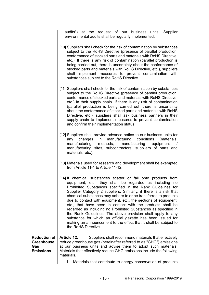audits") at the request of our business units. Supplier environmental audits shall be regularly implemented.

- [10] Suppliers shall check for the risk of contamination by substances subject to the RoHS Directive (presence of parallel production, conformance of stocked parts and materials with RoHS Directive, etc.). If there is any risk of contamination (parallel production is being carried out, there is uncertainty about the conformance of stocked parts and materials with RoHS Directive, etc.), suppliers shall implement measures to prevent contamination with substances subject to the RoHS Directive.
- [11] Suppliers shall check for the risk of contamination by substances subject to the RoHS Directive (presence of parallel production, conformance of stocked parts and materials with RoHS Directive, etc.) in their supply chain. If there is any risk of contamination (parallel production is being carried out, there is uncertainty about the conformance of stocked parts and materials with RoHS Directive, etc.), suppliers shall ask business partners in their supply chain to implement measures to prevent contamination and confirm their implementation status.
- [12] Suppliers shall provide advance notice to our business units for any changes in manufacturing conditions (materials, manufacturing methods, manufacturing equipment manufacturing sites, subcontractors, suppliers of parts and materials, etc.).
- [13] Materials used for research and development shall be exempted from Article 11-1 to Article 11-12.
- [14] If chemical substances scatter or fall onto products from equipment, etc., they shall be regarded as including no Prohibited Substances specified in the Rank Guidelines for Supplier Category 2 suppliers. Similarly, if there is a risk that chemical substances may adhere to or be transferred to products due to contact with equipment, etc., the sections of equipment, etc., that have been in contact with the products shall be regarded as including no Prohibited Substances as specified in the Rank Guidelines. The above provision shall apply to any substance for which an official gazette has been issued for making an announcement to the effect that it shall be subject to the RoHS Directive.

**Reduction of Greenhouse Gas Emissions Article 12**. Suppliers shall recommend materials that effectively reduce greenhouse gas (hereinafter referred to as "GHG") emissions at our business units and advise them to adopt such materials. Materials that effectively reduce GHG emissions include the following materials.

1. Materials that contribute to energy conservation of products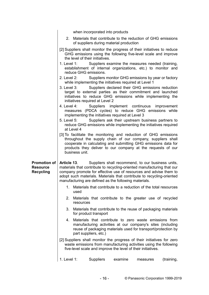when incorporated into products 2. Materials that contribute to the reduction of GHG emissions of suppliers during material production [2] Suppliers shall monitor the progress of their initiatives to reduce GHG emissions using the following five-level scale and improve the level of their initiatives. 1. Level 1: Suppliers examine the measures needed (training, establishment of internal organizations, etc.) to monitor and reduce GHG emissions. 2. Level 2: Suppliers monitor GHG emissions by year or factory while implementing the initiatives required at Level 1 3. Level 3: Suppliers declared their GHG emissions reduction target to external parties as their commitment and launched initiatives to reduce GHG emissions while implementing the initiatives required at Level 2 4. Level 4: Suppliers implement continuous improvement measures (PDCA cycles) to reduce GHG emissions while implementing the initiatives required at Level 3 5. Level 5: Suppliers ask their upstream business partners to reduce GHG emissions while implementing the initiatives required at Level 4 [3] To facilitate the monitoring and reduction of GHG emissions throughout the supply chain of our company, suppliers shall cooperate in calculating and submitting GHG emissions data for products they deliver to our company at the requests of our business unit. **Promotion of Resource Recycling Article 13**. Suppliers shall recommend, to our business units, materials that contribute to recycling-oriented manufacturing that our company promote for effective use of resources and advise them to adopt such materials. Materials that contribute to recycling-oriented manufacturing are defined as the following materials. 1. Materials that contribute to a reduction of the total resources used 2. Materials that contribute to the greater use of recycled resources 3. Materials that contribute to the reuse of packaging materials for product transport 4. Materials that contribute to zero waste emissions from manufacturing activities at our company's sites (including reuse of packaging materials used for transport/protection by part suppliers, etc.) [2] Suppliers shall monitor the progress of their initiatives for zero waste emissions from manufacturing activities using the following five-level scale and improve the level of their initiatives. 1. Level 1: Suppliers examine measures (training,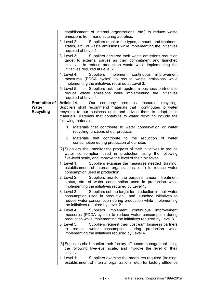|                                                  | establishment of internal organizations, etc.) to reduce waste<br>emissions from manufacturing activities.                                                                                                                                                                            |
|--------------------------------------------------|---------------------------------------------------------------------------------------------------------------------------------------------------------------------------------------------------------------------------------------------------------------------------------------|
|                                                  | 2. Level 2:<br>Suppliers monitor the types, amount, and treatment<br>status, etc., of waste emissions while implementing the initiatives<br>required at Level 1.                                                                                                                      |
|                                                  | 3. Level 3:<br>Suppliers declared their waste emissions reduction<br>target to external parties as their commitment and launched<br>initiatives to reduce production waste while implementing the<br>initiatives required at Level 2.                                                 |
|                                                  | 4. Level 4:<br>Suppliers implement continuous improvement<br>measures (PDCA cycles) to reduce waste emissions while<br>implementing the initiatives required at Level 3.                                                                                                              |
|                                                  | 5. Level 5:<br>Suppliers ask their upstream business partners to<br>reduce waste emissions while implementing the initiatives<br>required at Level 4.                                                                                                                                 |
| <b>Promotion of</b><br>Water<br><b>Recycling</b> | Article 14. Our company promotes resource recycling.<br>Suppliers shall recommend materials that contributes to water<br>recycling to our business units and advise them to adopt such<br>materials. Materials that contribute to water recycling include the<br>following materials. |
|                                                  | 1. Materials that contribute to water conservation or water<br>recycling functions of our products                                                                                                                                                                                    |
|                                                  | 2. Materials that contribute to the reduction of water<br>consumption during production at our sites                                                                                                                                                                                  |
|                                                  | [2] Suppliers shall monitor the progress of their initiatives to reduce<br>water consumption used in production using the following<br>five-level scale, and improve the level of their initiatives.                                                                                  |
|                                                  | Suppliers examine the measures needed (training,<br>1. Level 1:<br>establishment of internal organizations, etc.) to reduce water<br>consumption used in production.                                                                                                                  |
|                                                  | 2. Level 2: Suppliers monitor the purpose, amount, treatment<br>status, etc. of water consumption used in production while<br>implementing the initiatives required by Level 1.                                                                                                       |
|                                                  | Suppliers set the target for reduction in their water<br>3. Level 3:<br>consumption used in production and launched initiatives to<br>reduce water consumption during production while implementing<br>the initiatives required by Level 2.                                           |
|                                                  | 4. Level 4:<br>Suppliers implement continuous improvement<br>measures (PDCA cycles) to reduce water consumption during<br>production while implementing the initiatives required by Level 3.                                                                                          |
|                                                  | 5. Level 5:<br>Suppliers request their upstream business partners<br>water consumption during production<br>while<br>reduce<br>to<br>implementing the initiatives required by Level 4.                                                                                                |
|                                                  | [3] Suppliers shall monitor their factory effluence management using<br>the following five-level scale, and improve the level of their<br>initiatives.                                                                                                                                |
|                                                  | 1. Level $1:$<br>Suppliers examine the measures required (training,<br>establishment of internal organizations, etc.) for factory effluence                                                                                                                                           |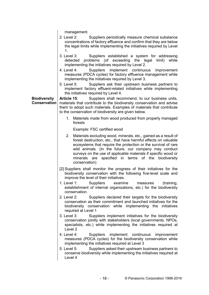management.

 $\overline{\phantom{a}}$ 

|                                     | 2. Level 2:<br>Suppliers periodically measure chemical substance<br>concentrations of factory effluence and confirm that they are below<br>the legal limits while implementing the initiatives required by Level<br>1 <sub>1</sub>                                                                                                                                                                            |
|-------------------------------------|---------------------------------------------------------------------------------------------------------------------------------------------------------------------------------------------------------------------------------------------------------------------------------------------------------------------------------------------------------------------------------------------------------------|
|                                     | Suppliers established a system for addressing<br>3. Level 3:<br>problems (of exceeding<br>the legal<br>while<br>detected<br>limit)<br>implementing the initiatives required by Level 2.                                                                                                                                                                                                                       |
|                                     | Suppliers implement continuous<br>4. Level 4:<br>improvement<br>measures (PDCA cycles) for factory effluence management while<br>implementing the initiatives required by Level 3.                                                                                                                                                                                                                            |
|                                     | 5. Level 5:<br>Suppliers ask their upstream business partners to<br>implement factory effluent-related initiatives while implementing<br>the initiatives required by Level 4.                                                                                                                                                                                                                                 |
| <b>Biodiversity</b><br>Conservation | Article 15.<br>Suppliers shall recommend, to our business units,<br>materials that contribute to the biodiversity conservation and advise<br>them to adopt such materials. Examples of materials that contribute<br>to the conservation of biodiversity are given below.                                                                                                                                      |
|                                     | $1_{\cdot}$<br>Materials made from wood produced from properly managed<br>forests                                                                                                                                                                                                                                                                                                                             |
|                                     | Example: FSC certified wood                                                                                                                                                                                                                                                                                                                                                                                   |
|                                     | Materials excluding wood, minerals, etc., gained as a result of<br>2.<br>forest destruction, etc., that have harmful effects on valuable<br>ecosystems that require the protection or the survival of rare<br>wild animals. (In the future, our company may conduct<br>surveys on the use of applicable materials if specific wood or<br>minerals are specified in terms of the biodiversity<br>conservation) |
|                                     | [2] Suppliers shall monitor the progress of their initiatives for the<br>biodiversity conservation with the following five-level scale and<br>improve the level of their initiatives.                                                                                                                                                                                                                         |
|                                     | 1. Level 1:<br>Suppliers<br>examine<br>(training,<br>measures<br>establishment of internal organizations, etc.) for the biodiversity<br>conservation.                                                                                                                                                                                                                                                         |
|                                     | 2. Level 2:<br>Suppliers declared their targets for the biodiversity<br>conservation as their commitment and launched initiatives for the<br>biodiversity conservation while implementing the initiatives<br>required at Level 1                                                                                                                                                                              |
|                                     | 3. Level 3:<br>Suppliers implement initiatives for the biodiversity<br>conservation jointly with stakeholders (local governments, NPOs,<br>specialists, etc.) while implementing the initiatives required at<br>Level <sub>2</sub>                                                                                                                                                                            |
|                                     | 4. Level 4:<br><b>Suppliers</b><br>implement<br>continuous<br>improvement<br>measures (PDCA cycles) for the biodiversity conservation while<br>implementing the initiatives required at Level 3                                                                                                                                                                                                               |
|                                     | 5. Level 5:<br>Suppliers asked their upstream business partners to<br>conserve biodiversity while implementing the initiatives required at<br>Level 4                                                                                                                                                                                                                                                         |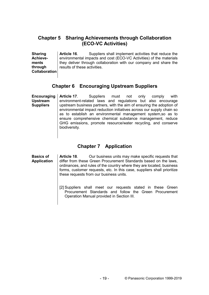### **Chapter 5 Sharing Achievements through Collaboration (ECO-VC Activities)**

**Sharing Achievements through Collaboration Article 16**. Suppliers shall implement activities that reduce the environmental impacts and cost (ECO-VC Activities) of the materials they deliver through collaboration with our company and share the results of these activities.

### **Chapter 6 Encouraging Upstream Suppliers**

**Encouraging Upstream Suppliers Article 17**. Suppliers must not only comply with environment-related laws and regulations but also encourage upstream business partners, with the aim of ensuring the adoption of environmental impact reduction initiatives across our supply chain so as to establish an environmental management system,so as to ensure comprehensive chemical substance management, reduce GHG emissions, promote resource/water recycling, and conserve biodiversity.

### **Chapter 7 Application**

**Basics of Application Article 18**. Our business units may make specific requests that differ from these Green Procurement Standards based on the laws, ordinances, and rules of the country where they are located, business forms, customer requests, etc. In this case, suppliers shall prioritize these requests from our business units.

[2] Suppliers shall meet our requests stated in these Green Procurement Standards and follow the Green Procurement Operation Manual provided in Section III.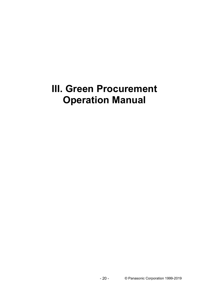## **III. Green Procurement Operation Manual**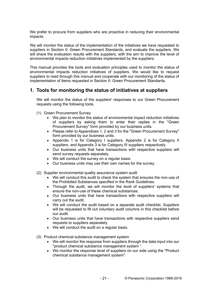We prefer to procure from suppliers who are proactive in reducing their environmental impacts.

We will monitor the status of the implementation of the initiatives we have requested to suppliers in Section II: Green Procurement Standards, and evaluate the suppliers. We will share the evaluation results with the suppliers, with the aim to improve the level of environmental impacts reduction initiatives implemented by the suppliers.

This manual provides the tools and evaluation principles used to monitor the status of environmental impacts reduction initiatives of suppliers. We would like to request suppliers to read through this manual and cooperate with our monitoring of the status of implementation of items requested in Section II: Green Procurement Standards.

#### **1. Tools for monitoring the status of initiatives at suppliers**

We will monitor the status of the suppliers' responses to our Green Procurement requests using the following tools.

- (1) Green Procurement Survey
	- We plan to monitor the status of environmental impact reduction initiatives of suppliers by asking them to enter their replies in the "Green Procurement Survey" form provided by our business units.
	- Please refer to Appendices 1, 2 and 3 for the "Green Procurement Survey" form provided by our business units.
	- Appendix 1 is for Category I suppliers, Appendix 2 is for Category II suppliers, and Appendix 3 is for Category III suppliers respectively.
	- Our business units that have transactions with respective suppliers will send survey requests separately.
	- We will conduct the survey on a regular basis.
	- Our business units may use their own names for the survey.
- (2) Supplier environmental quality assurance system audit
	- We will conduct this audit to check the system that ensures the non-use of the Prohibited Substances specified in the Rank Guidelines.
	- Through the audit, we will monitor the level of suppliers' systems that ensure the non-use of these chemical substances.
	- Our business units that have transactions with respective suppliers will carry out the audit.
	- We will conduct the audit based on a separate audit checklist. Suppliers will be requested to fill out voluntary audit columns in this checklist before our audit.
	- Our business units that have transactions with respective suppliers send requests to suppliers separately.
	- We will conduct the audit on a regular basis.
- (3) Product chemical substance management system
	- We will monitor the response from suppliers through the data input into our "product chemical substance management system ".
	- We monitor the response level of suppliers on our side using the "Product chemical substance management system".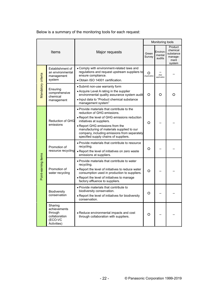Below is a summary of the monitoring tools for each request:

|                     |                                                                               |                                                                                                                                                                                                                                                                                                                                   |                   | Monitoring tools                                |   |
|---------------------|-------------------------------------------------------------------------------|-----------------------------------------------------------------------------------------------------------------------------------------------------------------------------------------------------------------------------------------------------------------------------------------------------------------------------------|-------------------|-------------------------------------------------|---|
| Items               |                                                                               | Major requests                                                                                                                                                                                                                                                                                                                    |                   | Environ-<br>Green<br>mental<br>Survey<br>audits |   |
| Mandatory criteria  | Establishment of<br>an environmental<br>management<br>system                  | . Comply with environment-related laws and<br>regulations and request upstream suppliers to<br>ensure compliance.<br>· Obtain ISO 14001 certification.                                                                                                                                                                            | O<br>(Applicable) | (Not<br>applicable)                             |   |
|                     | Ensuring<br>comprehensive<br>chemical<br>management                           | • Submit non-use warranty form<br>• Acquire Level A rating in the supplier<br>environmental quality assurance system audit<br>• Input data to "Product chemical substance"<br>management system"                                                                                                                                  | $\circ$           | O                                               | O |
|                     | <b>Reduction of GHG</b><br>emissions                                          | • Provide materials that contribute to the<br>reduction of GHG emissions.<br>• Report the level of GHG emissions reduction<br>initiatives at suppliers.<br>• Report GHG emissions from the<br>manufacturing of materials supplied to our<br>company, including emissions from separately<br>specified supply chains of suppliers. | O                 |                                                 |   |
|                     | Promotion of<br>resource recycling                                            | • Provide materials that contribute to resource<br>recycling.<br>. Report the level of initiatives on zero waste<br>emissions at suppliers.                                                                                                                                                                                       | O                 |                                                 |   |
| Point-earning items | Promotion of<br>water recycling                                               | • Provide materials that contribute to water<br>recycling.<br>. Report the level of initiatives to reduce water<br>consumption used in production to suppliers.<br>• Report the level of initiatives to manage<br>factory effluence to suppliers.                                                                                 | O                 |                                                 |   |
|                     | <b>Biodiversity</b><br>conservation                                           | . Provide materials that contribute to<br>biodiversity conservation.<br>. Report the level of initiatives for biodiversity<br>conservation.                                                                                                                                                                                       | O                 |                                                 |   |
|                     | Sharing<br>achievements<br>through<br>collaboration<br>(ECO-VC<br>Activities) | • Reduce environmental impacts and cost<br>through collaboration with suppliers.                                                                                                                                                                                                                                                  | $\circ$           |                                                 |   |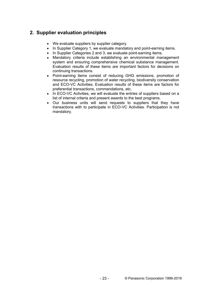## **2. Supplier evaluation principles**

- We evaluate suppliers by supplier category.
- In Supplier Category 1, we evaluate mandatory and point-earning items.
- In Supplier Categories 2 and 3, we evaluate point-earning items.
- Mandatory criteria include establishing an environmental management system and ensuring comprehensive chemical substance management. Evaluation results of these items are important factors for decisions on continuing transactions.
- Point-earning items consist of reducing GHG emissions, promotion of resource recycling, promotion of water recycling, biodiversity conservation and ECO-VC Activities. Evaluation results of these items are factors for preferential transactions, commendations, etc.
- In ECO-VC Activities, we will evaluate the entries of suppliers based on a list of internal criteria and present awards to the best programs.
- Our business units will send requests to suppliers that they have transactions with to participate in ECO-VC Activities. Participation is not mandatory.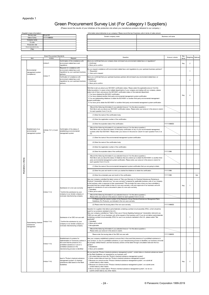## Green Procurement Survey List (For Category I Suppliers)

(Please record the results of your initiatives at the production site where you manufacture products delivered to our company.)

| <supplier's basic="" information=""></supplier's> |            | -Information about deliveries to our company> Please record the top 5 business units in terms of sales amount. |                    |  |  |
|---------------------------------------------------|------------|----------------------------------------------------------------------------------------------------------------|--------------------|--|--|
| Survey year                                       | Fiscal XX  | Domain company name                                                                                            | Business unit name |  |  |
| Date of entry                                     | YYYY/MM/DD |                                                                                                                |                    |  |  |
| Company name                                      |            |                                                                                                                |                    |  |  |
| G code                                            |            |                                                                                                                |                    |  |  |
| Production site                                   |            |                                                                                                                |                    |  |  |
| Person responsible for entry                      |            |                                                                                                                |                    |  |  |
| (Title)                                           |            |                                                                                                                |                    |  |  |

|               |                                                           | Green Procurement Standards  |                                                                                                                                                                                                                      | Question                                                                                                                                                                                                                                                                                                                                                                                                                                                                                                                                                                                                                                                                                                                                                   | Answer column | Key   | Weighting Optional |     |
|---------------|-----------------------------------------------------------|------------------------------|----------------------------------------------------------------------------------------------------------------------------------------------------------------------------------------------------------------------|------------------------------------------------------------------------------------------------------------------------------------------------------------------------------------------------------------------------------------------------------------------------------------------------------------------------------------------------------------------------------------------------------------------------------------------------------------------------------------------------------------------------------------------------------------------------------------------------------------------------------------------------------------------------------------------------------------------------------------------------------------|---------------|-------|--------------------|-----|
|               | Item                                                      | Article                      | Request                                                                                                                                                                                                              |                                                                                                                                                                                                                                                                                                                                                                                                                                                                                                                                                                                                                                                                                                                                                            |               | Items |                    |     |
|               |                                                           | Article 5                    | Confirmation of the compliance with<br>environment-related laws and<br>regulations                                                                                                                                   | Have you confirmed that your company does not breach any environment-related laws or regulations?<br>1.Confirmed<br>2. Have yet to confirm                                                                                                                                                                                                                                                                                                                                                                                                                                                                                                                                                                                                                 |               | Key   | 2                  |     |
|               |                                                           |                              | Requests for compliance with                                                                                                                                                                                         | Do you request compliance with environment-related laws and requlations by your upstream business partners?                                                                                                                                                                                                                                                                                                                                                                                                                                                                                                                                                                                                                                                |               |       |                    |     |
|               | Environmental<br>management system<br>(compliance)        |                              | environment-related laws and<br>regulations by your upstream business<br>partners                                                                                                                                    | 1. Requested<br>2. Have yet to request                                                                                                                                                                                                                                                                                                                                                                                                                                                                                                                                                                                                                                                                                                                     |               |       |                    |     |
|               |                                                           | Article 17                   | Verification of compliance with                                                                                                                                                                                      | Have you confirmed that your upstream business partners did not breach any environment-related laws or                                                                                                                                                                                                                                                                                                                                                                                                                                                                                                                                                                                                                                                     |               |       |                    |     |
|               |                                                           |                              | environment-related laws and<br>regulations by your upstream business                                                                                                                                                | regulations?<br>1.Confirmed                                                                                                                                                                                                                                                                                                                                                                                                                                                                                                                                                                                                                                                                                                                                |               |       | 2                  |     |
|               |                                                           |                              | partners                                                                                                                                                                                                             | 2. Have yet to confirm                                                                                                                                                                                                                                                                                                                                                                                                                                                                                                                                                                                                                                                                                                                                     |               |       |                    |     |
|               |                                                           |                              |                                                                                                                                                                                                                      | We'd like to ask you about your ISO14001 certification status. Please select the applicable answ er from the<br>follow ing options. In cases w here multiple departments of your company are trading w ith our company, please<br>select one of them, and answ er the ISO14001 certification status of the selected department.<br>1. You have obtained the ISO14001 certification.<br>2. You have obtained another third-party environmental management system certification<br>3. You are implementing initiatives to obtain the ISO140001 or another third-party environmental management                                                                                                                                                               |               | Key   | $\overline{4}$     |     |
|               |                                                           |                              |                                                                                                                                                                                                                      | system certification<br>4. You have yet to obtain the ISO140001 or another third-party environmental management system certification                                                                                                                                                                                                                                                                                                                                                                                                                                                                                                                                                                                                                       |               |       |                    |     |
|               |                                                           |                              |                                                                                                                                                                                                                      | (Record the follow ing information if you selected Answ er 1 for the above question.)<br>We'd like to ask you about your ISO14001 certification status. Please enter your answ er in the answ er column<br>for each question from (1) to (3).                                                                                                                                                                                                                                                                                                                                                                                                                                                                                                              |               |       |                    |     |
|               |                                                           |                              |                                                                                                                                                                                                                      | (1) Enter the name of the certification body.                                                                                                                                                                                                                                                                                                                                                                                                                                                                                                                                                                                                                                                                                                              |               |       |                    |     |
|               |                                                           |                              |                                                                                                                                                                                                                      | (2) Enter the registration number of the certification.                                                                                                                                                                                                                                                                                                                                                                                                                                                                                                                                                                                                                                                                                                    |               |       |                    |     |
|               |                                                           |                              |                                                                                                                                                                                                                      | (3) Enter the expiration date of the certification.                                                                                                                                                                                                                                                                                                                                                                                                                                                                                                                                                                                                                                                                                                        | YYYY/MMDD     |       |                    |     |
|               |                                                           |                              |                                                                                                                                                                                                                      | (Record the follow ing information if you selected Answ er 2 for the above question.)                                                                                                                                                                                                                                                                                                                                                                                                                                                                                                                                                                                                                                                                      |               |       |                    |     |
|               | Establishment of an<br>environmental<br>management system | Articles 10-1), 2) and<br>3) | Confirmation of the status of<br>establishing an environmental<br>management system                                                                                                                                  | We'd like to ask you about the status of third-party certification of any of your environmental management<br>systems other than ISO14001. Please enter your answ er in the answ er column for each question from (1) to<br>$(4)$ .                                                                                                                                                                                                                                                                                                                                                                                                                                                                                                                        |               |       |                    |     |
|               |                                                           |                              |                                                                                                                                                                                                                      | (1) Enter the name of the environmental management system certification.                                                                                                                                                                                                                                                                                                                                                                                                                                                                                                                                                                                                                                                                                   |               |       |                    |     |
|               |                                                           |                              |                                                                                                                                                                                                                      | (2) Enter the name of the certification body.                                                                                                                                                                                                                                                                                                                                                                                                                                                                                                                                                                                                                                                                                                              |               |       |                    |     |
|               |                                                           |                              |                                                                                                                                                                                                                      | (3) Enter the registration number of the certification.                                                                                                                                                                                                                                                                                                                                                                                                                                                                                                                                                                                                                                                                                                    |               |       |                    |     |
|               |                                                           |                              |                                                                                                                                                                                                                      | (4) Enter the expiration date of the certification.                                                                                                                                                                                                                                                                                                                                                                                                                                                                                                                                                                                                                                                                                                        | YYYY/MM       |       |                    |     |
| criteria      |                                                           |                              |                                                                                                                                                                                                                      | (Record the follow ing information if you selected Answer 3 for the above question.)<br>We'd like to ask you about the status of initiatives that are underw ay to obtain the ISO140001 or another third-<br>party environmental management system certification. Please enter your answ er in the answ er column for<br>each question from (1) to (3).                                                                                                                                                                                                                                                                                                                                                                                                    |               |       |                    |     |
| $\rightarrow$ |                                                           |                              |                                                                                                                                                                                                                      | (1) Enter the name of the environmental management system certification that you are going to obtain.                                                                                                                                                                                                                                                                                                                                                                                                                                                                                                                                                                                                                                                      |               |       |                    |     |
| Mandator      |                                                           |                              |                                                                                                                                                                                                                      | (2) Enter the year and month in w hich you started the initiatives to obtain the certification.                                                                                                                                                                                                                                                                                                                                                                                                                                                                                                                                                                                                                                                            | YYYY/MM       |       |                    |     |
|               |                                                           |                              |                                                                                                                                                                                                                      | (3) Enter the scheduled year and month of the certification.                                                                                                                                                                                                                                                                                                                                                                                                                                                                                                                                                                                                                                                                                               | YYYY/MM       |       |                    | Opt |
|               |                                                           | Article 11-3)                | Submission of a non-use w arranty<br>* Confirm the submission by your<br>company to our domain company or<br>overseas manufacturing company                                                                          | Has your company submitted the latest version of "Non-use Warranty for Chemical Substances Pertaining to<br>Products" (hereinafter referred to as "non-use w arranty") prepared by applicable business units of our company<br>to the business units in response to their requirements? This excludes the case w here you have submitted a<br>document that has content similar to that of a non-use w arranty, with prior approval of our business unit with<br>regards to submission of such a document in place of a non-use w arranty.<br>1.Submitted<br>2. Have yet to submit                                                                                                                                                                         |               | Key   | $\overline{1}$     |     |
|               |                                                           |                              |                                                                                                                                                                                                                      | (Record the follow ing information if you selected Answ er 1 for the above question.)<br>Please enter your answ er in the answ er column for each question from (1) to (2).                                                                                                                                                                                                                                                                                                                                                                                                                                                                                                                                                                                |               |       |                    |     |
|               |                                                           |                              |                                                                                                                                                                                                                      | (1) Please enter the version number of the Panasonic Group Chemical Substances Management Rank<br>Guidelines (For Products), as indicated in the non-use w arranty.                                                                                                                                                                                                                                                                                                                                                                                                                                                                                                                                                                                        |               |       |                    |     |
|               |                                                           |                              |                                                                                                                                                                                                                      | (2) Please enter the issuing date of the non-use w arranty.                                                                                                                                                                                                                                                                                                                                                                                                                                                                                                                                                                                                                                                                                                | YYYY/MWDD     |       |                    |     |
|               | Guaranteeing chemical<br>substances<br>management         | Article 11-4)                | Submission of an ODC non-use oath<br>* Confirm the submission by your<br>company to our domain company or<br>overseas manufacturing company                                                                          | Question for suppliers that deliver parts/materials containing a printed circuit assembly (PCA), w hich should be<br>used for our products marketed in the U.S.;<br>Has your company submitted an "Oath of Non-use of Ozone Depleting Substances" (hereinafter referred to as<br>"ODC non-use oath") to our business unit, at the request of the business unit? If you do not deliver parts/materials<br>containing a printed circuit assembly (PCA) for use in our products marketed in the U.S., please select "Not<br>applicable".<br>1.Submitted<br>2. Have yet to submit<br>3. Not applicable                                                                                                                                                         |               |       | -1                 |     |
|               |                                                           |                              |                                                                                                                                                                                                                      | (Record the follow ing information if you selected Answ er 1 for the above question.)<br>Please enter your answ er in the answ er column.                                                                                                                                                                                                                                                                                                                                                                                                                                                                                                                                                                                                                  |               |       |                    |     |
|               |                                                           |                              |                                                                                                                                                                                                                      | Please enter the issuing date of the ODC non-use oath.                                                                                                                                                                                                                                                                                                                                                                                                                                                                                                                                                                                                                                                                                                     | YYYY/MWDD     |       |                    |     |
|               |                                                           | Article 11-5)                | Establishment of systems for<br>implementation of necessary actions in<br>the event that the presence of a<br>prohibited substance or use of a<br>prohibited substance in the<br>manufacturing process is identified | Has your company established systems to ensure that, in the event that presence of a prohibited substance in<br>your product, or use of a prohibited substance, in your manufacturing process is identified, our business unit shall<br>be promptly notified thereof, and that necessary actions w ill be taken through consultation betw een the two<br>parties?<br>1. Established<br>2. Have yet to establish                                                                                                                                                                                                                                                                                                                                            |               |       | -1                 |     |
|               |                                                           | Article 11-6)                | Input to "Product chemical substance"<br>management system" of chemical<br>substances data based on the Rank<br>Guidelines                                                                                           | Do you input into "Product chemical substance management system" content data on chemical substances based<br>on the Rank Guidelines, as requested by our business unit?<br>1.All content data are input into "Product chemical substance management system".<br>2. Some content data are input into "Product chemical substance management system".<br>3. Because we cannot access "Product chemical substance management system", we submit all<br>content data by other means.<br>4. Because we cannot access "Product chemical substance management system", we submit some<br>content data by other means.<br>5. We do not input content data to "Product chemical substance management system", nor do we<br>submit content data by any other means. |               | Key   | 2                  |     |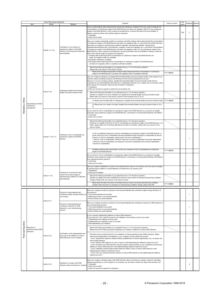|                     |                                                   | Green Procurement Standards |                                                                                                                                | Question                                                                                                                                                                                                                                                                                                                                                                                                                                                                                                                                                                                                                                                                                                                                                                                                                                                                                                                                                                                                                                                                                                                                                                                                                                                                                                                                                                                                                                                       | Answ er column | Key          | Weighting Optional |  |
|---------------------|---------------------------------------------------|-----------------------------|--------------------------------------------------------------------------------------------------------------------------------|----------------------------------------------------------------------------------------------------------------------------------------------------------------------------------------------------------------------------------------------------------------------------------------------------------------------------------------------------------------------------------------------------------------------------------------------------------------------------------------------------------------------------------------------------------------------------------------------------------------------------------------------------------------------------------------------------------------------------------------------------------------------------------------------------------------------------------------------------------------------------------------------------------------------------------------------------------------------------------------------------------------------------------------------------------------------------------------------------------------------------------------------------------------------------------------------------------------------------------------------------------------------------------------------------------------------------------------------------------------------------------------------------------------------------------------------------------------|----------------|--------------|--------------------|--|
|                     | Item                                              | Article                     | Request                                                                                                                        | Do you submit analysis data evidencing that, among the substances contained in the new product (material), the<br>concentrations of substances subject to the RoHS Directive are below the requlatory limits? For any substances<br>subject to the RoHS Directive, if they continue to be delivered to us beyond the date when the prohibition of<br>delivery comes into effect, they shall be subject to inspection.                                                                                                                                                                                                                                                                                                                                                                                                                                                                                                                                                                                                                                                                                                                                                                                                                                                                                                                                                                                                                                          |                | ttems<br>Key | $\overline{2}$     |  |
|                     |                                                   | Articles 11-7), 8)          | Verification of non-inclusion of<br>substances subject to the RoHS<br>Directive concerning new ly delivered<br>parts/materials | 1.Submitted<br>2. Have yet to submit<br>Does your company periodically submit to our business unit either analysis data evidencing that the concentrations<br>of substances subject to the RoHS Directive are below the regulatory limits, or a document that certifies that there<br>have been no changes to manufacturing conditions (materials, manufacturing methods, manufacturing<br>equipment/manufacturing sites, subcontractors, suppliers of parts and materials, etc.), and that the concentrations<br>of substances subject to the RoHS Directive are below the regulatory limits? For any substances subject to the<br>RoHS Directive, if they continue to be delivered to us beyond the date w hen the prohibition of delivery comes into<br>effect, they shall be subject to analysis and inspection.<br>1. Analysis data evidencing that the concentrations of substances subject to the RoHS Directive are<br>below the regulatory limits are submitted.<br>2. Substitute certificate is submitted.<br>3. No analysis data evidencing that the concentrations of substances subject to the RoHS Directive<br>are below the regulatory limits or substitute certificate submitted.<br>(Record the follow ing information if you selected Answ er 1 or 2 for the above question.)<br>Please enter your answ er in the answ er column.<br>Please enter the latest issuing date of analysis data evidencing that the concentrations of substances | YYYY/MMDD      |              |                    |  |
|                     |                                                   |                             | Undergoing Supplier Environmental                                                                                              | subject to the RoHS Directive are below the regulatory limits or substitute certificate.<br>Has your company undergone our Supplier Environmental Quality Assurance System Audits, at the request of our<br>business unit(s) (including a business unit differing from the one that requested this survey)?<br>How ever, if you are a trading company, Supplier Environmental Quality Assurance System Audits that are<br>conducted on your parts/materials manufacturers in collaboration betw een your company and our business unit(s)<br>at the request of our business unit(s) are also included in "Undergone."<br>1.Undergone<br>2. Have not received a request for audit from your business unit.                                                                                                                                                                                                                                                                                                                                                                                                                                                                                                                                                                                                                                                                                                                                                      |                |              |                    |  |
|                     |                                                   | Article 11-9)               | Quality Assurance System Audits                                                                                                | (Record the follow ing information if you selected Answ er 1 for the above question.)<br>Question to suppliers w ho have undergone our Supplier Environmental Quality Assurance System Audits;<br>Please enter your answ er in the answ er column for each question from $(1)$ to $(2)$ .                                                                                                                                                                                                                                                                                                                                                                                                                                                                                                                                                                                                                                                                                                                                                                                                                                                                                                                                                                                                                                                                                                                                                                      |                |              |                    |  |
| Mandatory criteria  | Guaranteeing chemical<br>substances               |                             |                                                                                                                                | (1) Please enter the latest date of undergoing our Supplier Environmental Quality Assurance System Audits. YYYY/MM/DD<br>(2) Please enter your rating in the latest Supplier Environmental Quality Assurance System Audits (A, B or<br>$C$ ).                                                                                                                                                                                                                                                                                                                                                                                                                                                                                                                                                                                                                                                                                                                                                                                                                                                                                                                                                                                                                                                                                                                                                                                                                  |                |              |                    |  |
|                     | management                                        |                             |                                                                                                                                | Do you check for risk of contamination by substances subject to the RoHS Directive (e.g. presence of parallel<br>oroduction using substances subject to the RoHS Directive, conformance of stocked parts/materials with RoHS)?<br>1.Confirmed<br>2. Have yet to confirm                                                                                                                                                                                                                                                                                                                                                                                                                                                                                                                                                                                                                                                                                                                                                                                                                                                                                                                                                                                                                                                                                                                                                                                        |                |              | -1                 |  |
|                     |                                                   | Articles 11-10), 11)        | Checking for risk of contamination by<br>substances subject to the RoHS<br>Directive                                           | (Record the follow ing information if you selected Answ er 1 for the above question.)<br>Questions for suppliers that check for risk of contamination by substances subject to the RoHS Directive; In (1)<br>below, please select one of the three alternatives provided. In (2) below, please enter your answ er in the<br>answer column.                                                                                                                                                                                                                                                                                                                                                                                                                                                                                                                                                                                                                                                                                                                                                                                                                                                                                                                                                                                                                                                                                                                     |                |              |                    |  |
|                     |                                                   |                             |                                                                                                                                | (1) Do you implement measures to prevent contamination by substances subject to the RoHS Directive, in<br>cases where any risk of contamination has been identified through checking for contamination as above?<br>If there is no risk of contamination, please select "No risk of contamination".<br>1. There is a risk of contamination, therefore measures to prevent contamination have been implemented.<br>2. There is a risk of contamination, but measures to prevent contamination have not been implemented.<br>3. No risk of contamination                                                                                                                                                                                                                                                                                                                                                                                                                                                                                                                                                                                                                                                                                                                                                                                                                                                                                                         |                |              |                    |  |
|                     |                                                   |                             |                                                                                                                                | (2) Please enter the most recent date on w hich you checked for risk of contamination by substances<br>subject to the RoHS Directive.                                                                                                                                                                                                                                                                                                                                                                                                                                                                                                                                                                                                                                                                                                                                                                                                                                                                                                                                                                                                                                                                                                                                                                                                                                                                                                                          | YYYY/MMDD      |              |                    |  |
|                     |                                                   |                             |                                                                                                                                | Do you check for risk of contamination by substances subject to the RoHS Directive (e.g. presence of parallel<br>production using substances subject to the RoHS Directive, conformance of stocked parts/materials with RoHS) at<br>your upstream business partners?<br>1.Confirmed<br>2. Have yet to confirm                                                                                                                                                                                                                                                                                                                                                                                                                                                                                                                                                                                                                                                                                                                                                                                                                                                                                                                                                                                                                                                                                                                                                  |                |              |                    |  |
|                     |                                                   | <b>Article 11-12)</b>       | Checking for an advanced notice<br>system concerning changes to<br>manufacturing conditions for delivered<br>parts/materials   | Has your company established a system for providing advance notice to our business unit in the case of changes<br>to manufacturing conditions for parts/materials to be delivered to our business unit?<br>1. Established<br>2. Have yet to establish                                                                                                                                                                                                                                                                                                                                                                                                                                                                                                                                                                                                                                                                                                                                                                                                                                                                                                                                                                                                                                                                                                                                                                                                          |                |              | -1                 |  |
|                     |                                                   |                             |                                                                                                                                | (Record the follow ing information if you selected Answ er 1 for the above question.)<br>Question to suppliers that have established an advance notice system concerning manufacturing conditions<br>changes; Please enter your answ er in the answ er column.<br>Please enter the date of provision of the latest advance notice concerning manufacturing conditions                                                                                                                                                                                                                                                                                                                                                                                                                                                                                                                                                                                                                                                                                                                                                                                                                                                                                                                                                                                                                                                                                          |                |              |                    |  |
|                     |                                                   |                             |                                                                                                                                | change. If there has been no necessity for manufacturing conditions change, please enter N/A.                                                                                                                                                                                                                                                                                                                                                                                                                                                                                                                                                                                                                                                                                                                                                                                                                                                                                                                                                                                                                                                                                                                                                                                                                                                                                                                                                                  | YYYY/MMDD      |              |                    |  |
|                     |                                                   |                             | Provision of parts/materials that<br>contribute to higher energy efficiency of<br>our products                                 | Does your company provide our business unit with parts/materials that contribute to higher energy efficiency of<br>our products?<br>1. Such parts/materials are provided.<br>2. Planning provision of such parts/materials.<br>3. Not providing such parts/materials.                                                                                                                                                                                                                                                                                                                                                                                                                                                                                                                                                                                                                                                                                                                                                                                                                                                                                                                                                                                                                                                                                                                                                                                          |                |              |                    |  |
|                     |                                                   | Article 12-1)               | Provision of parts/materials that<br>contribute to reduction of GHG<br>emissions in your manufacturing<br>process              | Does your company provide our business unit w ith parts/materials that contribute to reduction of GHG emissions in<br>your manufacturing process?<br>1. Such parts/materials are provided.<br>2. Planning provision of such parts/materials.<br>3. Not providing such parts/materials.                                                                                                                                                                                                                                                                                                                                                                                                                                                                                                                                                                                                                                                                                                                                                                                                                                                                                                                                                                                                                                                                                                                                                                         |                |              |                    |  |
|                     |                                                   |                             |                                                                                                                                | s your company implementing initiatives to reduce GHG emissions?<br>f your answ er is "yes," does the scope of your initiatives cover all sites or part of your sites?<br>1. Implementing such initiatives at all our sites.<br>2. Implementing such initiatives at part of our sites.<br>3. Not implementing such initiatives.                                                                                                                                                                                                                                                                                                                                                                                                                                                                                                                                                                                                                                                                                                                                                                                                                                                                                                                                                                                                                                                                                                                                |                |              | -1                 |  |
| Point-earning items | Reduction of<br>greenhouse gas (GHG)<br>emissions |                             |                                                                                                                                | (Record the follow ing information if you selected Answ er 1 or 2 for the above question.)<br>Please answ er the follow ing question regarding your company's initiatives to reduce GHG emissions.                                                                                                                                                                                                                                                                                                                                                                                                                                                                                                                                                                                                                                                                                                                                                                                                                                                                                                                                                                                                                                                                                                                                                                                                                                                             |                |              |                    |  |
|                     |                                                   | Article 12-2)               | Confirmation of the implementation and<br>the scope of the initiatives to reduce<br>GHG emissions of your company              | We'd like to ask you about the level of your initiatives to reduce greenhouse gas (GHG) emissions. Please<br>select the level applicable to the initiatives of your company from the follow ing five levels<br>Level 1: Examine the measures needed (training, establishment of internal organizations, etc.) to monitor and<br>reduce GHG emissions.<br>Level 2: Monitor GHG emissions by year or factory w hile implementing the initiatives required at Level 1.<br>Level 3: Declared your GHG emissions reduction target to external parties as your commitment and launched<br>initiatives to reduce GHG emissions w hile implementing the initiatives required at Level 2.<br>Level 4: Implement continued improvement measures (PDCA cycles) to reduce GHG emissions w hile<br>implementing the initiatives required at Level 3.<br>Level 5: Ask your upstream business partners to reduce GHG emissions w hile implementing the initiatives<br>required at Level 4.                                                                                                                                                                                                                                                                                                                                                                                                                                                                                    |                |              |                    |  |
|                     |                                                   | Article 12-3)               | Submission of supply chain GHG<br>emissions data concerning our company                                                        | Does your company calculate supply chain GHG emissions data concerning our company, based on calculation<br>nethods specified by us, at the request of our business unit, and does it submit such data to the business unit?<br>1.Submitted<br>2. Have yet to submit<br>3. Have not received a request for submission.                                                                                                                                                                                                                                                                                                                                                                                                                                                                                                                                                                                                                                                                                                                                                                                                                                                                                                                                                                                                                                                                                                                                         |                |              | 2                  |  |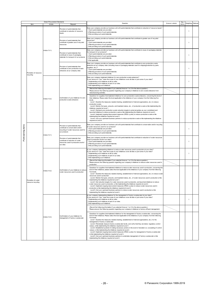|              |                                          | Green Procurement Standards                                                                        | Request                                                                                                                                                                                                                                                                                                                                                                                                                                                                                                                                                                                                                                                                                                                                                                                                                                                                                                                                                                                                                                                                                                                                | Question                                                                                                                                                                                                                                                                                                                                                                                                                                                                                                                                                                                                                                                                                                                                                                                                                                                                                                                                                                                                                                                       | Answer column                                                                                                                                                                                                                                                                                                                                                                                                                                                                                                                                                                                                                                                                                                                                                                                                                                                                                                                                                                                                                                                                                                   | Key   | Weighting Optional |  |  |
|--------------|------------------------------------------|----------------------------------------------------------------------------------------------------|----------------------------------------------------------------------------------------------------------------------------------------------------------------------------------------------------------------------------------------------------------------------------------------------------------------------------------------------------------------------------------------------------------------------------------------------------------------------------------------------------------------------------------------------------------------------------------------------------------------------------------------------------------------------------------------------------------------------------------------------------------------------------------------------------------------------------------------------------------------------------------------------------------------------------------------------------------------------------------------------------------------------------------------------------------------------------------------------------------------------------------------|----------------------------------------------------------------------------------------------------------------------------------------------------------------------------------------------------------------------------------------------------------------------------------------------------------------------------------------------------------------------------------------------------------------------------------------------------------------------------------------------------------------------------------------------------------------------------------------------------------------------------------------------------------------------------------------------------------------------------------------------------------------------------------------------------------------------------------------------------------------------------------------------------------------------------------------------------------------------------------------------------------------------------------------------------------------|-----------------------------------------------------------------------------------------------------------------------------------------------------------------------------------------------------------------------------------------------------------------------------------------------------------------------------------------------------------------------------------------------------------------------------------------------------------------------------------------------------------------------------------------------------------------------------------------------------------------------------------------------------------------------------------------------------------------------------------------------------------------------------------------------------------------------------------------------------------------------------------------------------------------------------------------------------------------------------------------------------------------------------------------------------------------------------------------------------------------|-------|--------------------|--|--|
|              | Item                                     | Article                                                                                            | Provision of parts/materials that<br>contribute to reduction of resource<br>inputs                                                                                                                                                                                                                                                                                                                                                                                                                                                                                                                                                                                                                                                                                                                                                                                                                                                                                                                                                                                                                                                     | Does your company provide our business unit with parts/materials that contribute to reduction of resource inputs?<br>1. Such parts/materials are provided.<br>2. Planning provision of such parts/materials.<br>3. Not providing such parts/materials.                                                                                                                                                                                                                                                                                                                                                                                                                                                                                                                                                                                                                                                                                                                                                                                                         |                                                                                                                                                                                                                                                                                                                                                                                                                                                                                                                                                                                                                                                                                                                                                                                                                                                                                                                                                                                                                                                                                                                 | Items |                    |  |  |
|              |                                          |                                                                                                    | Provision of parts/materials that<br>contribute to greater use of recycled<br>resources                                                                                                                                                                                                                                                                                                                                                                                                                                                                                                                                                                                                                                                                                                                                                                                                                                                                                                                                                                                                                                                | Does your company provide our business unit with parts/materials that contribute to greater use of recycled<br>resources?<br>1. Such parts/materials are provided.<br>2. Planning provision of such parts/materials.<br>3. Not providing such parts/materials.                                                                                                                                                                                                                                                                                                                                                                                                                                                                                                                                                                                                                                                                                                                                                                                                 |                                                                                                                                                                                                                                                                                                                                                                                                                                                                                                                                                                                                                                                                                                                                                                                                                                                                                                                                                                                                                                                                                                                 |       | -1                 |  |  |
|              |                                          | Article 13-1)                                                                                      | Provision of parts/materials that<br>contribute to reuse of packaging<br>materials for transport of our products                                                                                                                                                                                                                                                                                                                                                                                                                                                                                                                                                                                                                                                                                                                                                                                                                                                                                                                                                                                                                       | Does your company provide our business unit with parts/materials that contribute to reuse of packaging materials<br>for transport of our products?<br>1. Such parts/materials are provided.<br>2. Planning provision of such parts/materials.<br>3. Not providing such parts/materials.<br>4.Not applicable                                                                                                                                                                                                                                                                                                                                                                                                                                                                                                                                                                                                                                                                                                                                                    |                                                                                                                                                                                                                                                                                                                                                                                                                                                                                                                                                                                                                                                                                                                                                                                                                                                                                                                                                                                                                                                                                                                 |       |                    |  |  |
|              | Promotion of resource<br>recycling       |                                                                                                    | Provision of parts/materials that<br>contribute to zero production w aste<br>emissions at our company sites                                                                                                                                                                                                                                                                                                                                                                                                                                                                                                                                                                                                                                                                                                                                                                                                                                                                                                                                                                                                                            | Does your company provide our business unit with parts/materials that contribute to zero production waste<br>emissions at our company sites (including reuse of packaging materials used for shipping/protection by parts<br>suppliers, etc.)?<br>1. Such parts/materials are provided.<br>2. Planning provision of such parts/materials.<br>3. Not providing such parts/materials.                                                                                                                                                                                                                                                                                                                                                                                                                                                                                                                                                                                                                                                                            |                                                                                                                                                                                                                                                                                                                                                                                                                                                                                                                                                                                                                                                                                                                                                                                                                                                                                                                                                                                                                                                                                                                 |       |                    |  |  |
|              |                                          |                                                                                                    |                                                                                                                                                                                                                                                                                                                                                                                                                                                                                                                                                                                                                                                                                                                                                                                                                                                                                                                                                                                                                                                                                                                                        | Does your company implement initiatives for zero production waste emissions?<br>f your answ er is "yes," does the scope of your initiatives cover all sites or just some of your sites?<br>1. Implementing such initiatives at all our sites.<br>2. Implementing such initiatives at part of our sites.<br>3. Not implementing such initiatives.<br>(Record the follow ing information if you selected Answ er 1 or 2 for the above question.)                                                                                                                                                                                                                                                                                                                                                                                                                                                                                                                                                                                                                 |                                                                                                                                                                                                                                                                                                                                                                                                                                                                                                                                                                                                                                                                                                                                                                                                                                                                                                                                                                                                                                                                                                                 |       |                    |  |  |
|              |                                          |                                                                                                    |                                                                                                                                                                                                                                                                                                                                                                                                                                                                                                                                                                                                                                                                                                                                                                                                                                                                                                                                                                                                                                                                                                                                        | Please answ er the follow ing question regarding your company's initiatives to zero w aste emissions from<br>manufacturing activities.                                                                                                                                                                                                                                                                                                                                                                                                                                                                                                                                                                                                                                                                                                                                                                                                                                                                                                                         |                                                                                                                                                                                                                                                                                                                                                                                                                                                                                                                                                                                                                                                                                                                                                                                                                                                                                                                                                                                                                                                                                                                 |       |                    |  |  |
|              |                                          | Article 13-2)                                                                                      | Confirmation of your initiatives for zero<br>production w aste emissions                                                                                                                                                                                                                                                                                                                                                                                                                                                                                                                                                                                                                                                                                                                                                                                                                                                                                                                                                                                                                                                               | Questions for suppliers that implement initiatives for zero production w aste emissions, concerning the level of<br>their initiatives; Please select the level applicable to the initiatives of your company from the follow ing five<br>levels.<br>Level 1: Examine the measures needed (training, establishment of internal organizations, etc.) to reduce<br>production w aste.<br>Level 2: Monitor the types, amounts, and treatment status, etc., of production w aste w hile implementing the<br>initiatives required at Level 1.<br>Level 3: Declared your production w aste reduction targets to external parties as your commitment and<br>launched initiatives to reduce production w aste w hile implementing the initiatives required at Level 2.<br>Level 4: Implement ongoing improvement measures (PDCA cycles) to reduce production w aste w hile<br>implementing the initiatives required at Level 3.<br>Level 5: Ask your upstream business partners to reduce production w aste w hile implementing the initiatives<br>required at Level 4. |                                                                                                                                                                                                                                                                                                                                                                                                                                                                                                                                                                                                                                                                                                                                                                                                                                                                                                                                                                                                                                                                                                                 |       |                    |  |  |
| items<br>g   |                                          | Article 14-1)                                                                                      | Provision of parts/materials that<br>contribute to conservation and/or<br>recycling of water resources used for<br>our products                                                                                                                                                                                                                                                                                                                                                                                                                                                                                                                                                                                                                                                                                                                                                                                                                                                                                                                                                                                                        | Does your company provide our business unit with parts/materials that contribute to conservation and/or recycling<br>of water resources used for our products?<br>1. Such parts/materials are provided.<br>2. Planning provision of such parts/materials.<br>3. Not providing such parts/materials.                                                                                                                                                                                                                                                                                                                                                                                                                                                                                                                                                                                                                                                                                                                                                            |                                                                                                                                                                                                                                                                                                                                                                                                                                                                                                                                                                                                                                                                                                                                                                                                                                                                                                                                                                                                                                                                                                                 |       |                    |  |  |
| Point-earnir |                                          |                                                                                                    | Provision of parts/materials that<br>contribute to reduction of w ater<br>resources used in production at all of<br>our sites                                                                                                                                                                                                                                                                                                                                                                                                                                                                                                                                                                                                                                                                                                                                                                                                                                                                                                                                                                                                          | Does your company provide our business unit with parts/materials that contribute to reduction of water resources<br>used in production at all of our sites?<br>1. Such parts/materials are provided.<br>2. Planning provision of such parts/materials.<br>3. Not providing such parts/materials.                                                                                                                                                                                                                                                                                                                                                                                                                                                                                                                                                                                                                                                                                                                                                               |                                                                                                                                                                                                                                                                                                                                                                                                                                                                                                                                                                                                                                                                                                                                                                                                                                                                                                                                                                                                                                                                                                                 |       |                    |  |  |
|              |                                          | Confirmation of your initiatives to reduce<br>Article 14-2)<br>w ater resources used in production |                                                                                                                                                                                                                                                                                                                                                                                                                                                                                                                                                                                                                                                                                                                                                                                                                                                                                                                                                                                                                                                                                                                                        | s your company implementing initiatives to reduce w ater resources used in production at your sites?<br>your answer is "yes," does the scope of your initiatives cover all sites or just some of your sites?<br>1. Implementing such initiatives at all our sites.<br>2. Implementing such initiatives at part of our sites.<br>3. Not implementing such initiatives.                                                                                                                                                                                                                                                                                                                                                                                                                                                                                                                                                                                                                                                                                          |                                                                                                                                                                                                                                                                                                                                                                                                                                                                                                                                                                                                                                                                                                                                                                                                                                                                                                                                                                                                                                                                                                                 |       |                    |  |  |
|              |                                          |                                                                                                    |                                                                                                                                                                                                                                                                                                                                                                                                                                                                                                                                                                                                                                                                                                                                                                                                                                                                                                                                                                                                                                                                                                                                        | (Record the follow ing information if you selected Answ er 1 or 2 for the above question.)<br>Please answer the follow ing question regarding your company's initiatives to reduce water resources used in<br>production.                                                                                                                                                                                                                                                                                                                                                                                                                                                                                                                                                                                                                                                                                                                                                                                                                                      |                                                                                                                                                                                                                                                                                                                                                                                                                                                                                                                                                                                                                                                                                                                                                                                                                                                                                                                                                                                                                                                                                                                 |       |                    |  |  |
|              | Promotion of water<br>resource recycling |                                                                                                    | Questions for suppliers that implement initiatives to reduce water resources used in production, concerning the<br>level of their initiatives; please select the level applicable to the initiatives of your company from the follow ing<br>five levels.<br>Level 1: Examine the measures needed (training, establishment of internal organizations, etc.) to reduce w ater<br>resources used in production.<br>Level 2: Monitor the types, amounts, and treatment status, etc., of w ater resources used in production w hile<br>implementing the initiatives required at Level 1.<br>Level 3: Set reduction targets for w ater resources used in production, and launched initiatives to reduce<br>w ater resources used in production, w hile implementing the initiatives required at Level 2.<br>Level 4: Implement ongoing improvement measures (PDCA cycles) to reduce water resources used in<br>production w hile implementing the initiatives required at Level 3.<br>Level 5: Ask your upstream business partners to reduce w ater resources used in production w hile<br>implementing the initiatives required at Level 4. |                                                                                                                                                                                                                                                                                                                                                                                                                                                                                                                                                                                                                                                                                                                                                                                                                                                                                                                                                                                                                                                                |                                                                                                                                                                                                                                                                                                                                                                                                                                                                                                                                                                                                                                                                                                                                                                                                                                                                                                                                                                                                                                                                                                                 |       |                    |  |  |
|              |                                          |                                                                                                    |                                                                                                                                                                                                                                                                                                                                                                                                                                                                                                                                                                                                                                                                                                                                                                                                                                                                                                                                                                                                                                                                                                                                        | s your company implementing initiatives for the management of factory w astew ater at your sites?<br>? your answ er is "yes," does the scope of your initiatives cover all sites or just some of your sites<br>1. Implementing such initiatives at all our sites.<br>2. Implementing such initiatives at part of our sites.<br>3. Not implementing such initiatives.                                                                                                                                                                                                                                                                                                                                                                                                                                                                                                                                                                                                                                                                                           |                                                                                                                                                                                                                                                                                                                                                                                                                                                                                                                                                                                                                                                                                                                                                                                                                                                                                                                                                                                                                                                                                                                 |       |                    |  |  |
|              |                                          |                                                                                                    |                                                                                                                                                                                                                                                                                                                                                                                                                                                                                                                                                                                                                                                                                                                                                                                                                                                                                                                                                                                                                                                                                                                                        | (Record the follow ing information if you selected Answ er 1 or 2 for the above question.)<br>Please answer the follow ing question regarding your company's initiatives to factory effluent management.                                                                                                                                                                                                                                                                                                                                                                                                                                                                                                                                                                                                                                                                                                                                                                                                                                                       |                                                                                                                                                                                                                                                                                                                                                                                                                                                                                                                                                                                                                                                                                                                                                                                                                                                                                                                                                                                                                                                                                                                 |       |                    |  |  |
|              |                                          |                                                                                                    | Article 14-3)                                                                                                                                                                                                                                                                                                                                                                                                                                                                                                                                                                                                                                                                                                                                                                                                                                                                                                                                                                                                                                                                                                                          | Confirmation of your initiatives for<br>management of factory w astew ater                                                                                                                                                                                                                                                                                                                                                                                                                                                                                                                                                                                                                                                                                                                                                                                                                                                                                                                                                                                     | Questions for suppliers that implement initiatives for the management of factory w astew ater, concerning the<br>level of their initiatives; Please select the level applicable to the initiatives of your company from the following<br>five levels.<br>Level 1: Examine the measures needed (training, establishment of internal organizations, etc.) for the<br>management of factory w astew ater.<br>Level 2: Periodically measure factory w astew ater levels, and verify that they are below regulatory control<br>values, w hile implementing the initiatives required at Level 1.<br>Level 3: Established systems for taking necessary actions in the event of deviation (i.e. exceeding of control<br>values), while implementing the initiatives required at Level 2.<br>Level 4: Implement ongoing improvement measures (PDCA cycles) for management of factory wastew ater<br>w hile implementing the initiatives required at Level 3.<br>Level 5: Ask your upstream business partners to undertake management of factory w astew ater w hile<br>implementing the initiatives required at Level 4. |       |                    |  |  |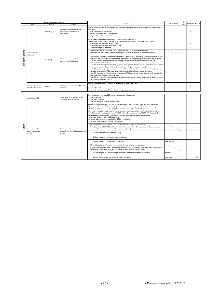- 27 - © Panasonic Corporation 1999-2019

| Green Procurement Standards |                                                       |               |                                                                                                                                                                                                                                                                                                                                                                                                                                                                                                                                                                                                                                                                                                                                                                                                                                                                                                                                                                                                                                                                                                                                                                                                                              |                                                                                                                                                                                                                                                                                                                                                                                                                                                                                                                                                                                                                                                                                                                                                                                                                                                   | Key           |       |                          |     |
|-----------------------------|-------------------------------------------------------|---------------|------------------------------------------------------------------------------------------------------------------------------------------------------------------------------------------------------------------------------------------------------------------------------------------------------------------------------------------------------------------------------------------------------------------------------------------------------------------------------------------------------------------------------------------------------------------------------------------------------------------------------------------------------------------------------------------------------------------------------------------------------------------------------------------------------------------------------------------------------------------------------------------------------------------------------------------------------------------------------------------------------------------------------------------------------------------------------------------------------------------------------------------------------------------------------------------------------------------------------|---------------------------------------------------------------------------------------------------------------------------------------------------------------------------------------------------------------------------------------------------------------------------------------------------------------------------------------------------------------------------------------------------------------------------------------------------------------------------------------------------------------------------------------------------------------------------------------------------------------------------------------------------------------------------------------------------------------------------------------------------------------------------------------------------------------------------------------------------|---------------|-------|--------------------------|-----|
|                             | Item                                                  | Article       | Request                                                                                                                                                                                                                                                                                                                                                                                                                                                                                                                                                                                                                                                                                                                                                                                                                                                                                                                                                                                                                                                                                                                                                                                                                      | Question                                                                                                                                                                                                                                                                                                                                                                                                                                                                                                                                                                                                                                                                                                                                                                                                                                          | Answer column | Items | Weighting Optional       |     |
|                             |                                                       | Article 15-1) | Provision of parts/materials that<br>contribute to conservation of<br>biodiversity                                                                                                                                                                                                                                                                                                                                                                                                                                                                                                                                                                                                                                                                                                                                                                                                                                                                                                                                                                                                                                                                                                                                           | Does your company provide our business unit with parts/materials that proactively contribute to conservation of<br>biodiversity?<br>1. Such parts/materials are provided.<br>2. Planning provision of such parts/materials.<br>3. Not providing such parts/materials.                                                                                                                                                                                                                                                                                                                                                                                                                                                                                                                                                                             |               |       | $\overline{\phantom{a}}$ |     |
|                             |                                                       |               |                                                                                                                                                                                                                                                                                                                                                                                                                                                                                                                                                                                                                                                                                                                                                                                                                                                                                                                                                                                                                                                                                                                                                                                                                              | ls your company implementing initiatives for conservation of biodiversity?<br>f your answ er is "yes," does the scope of your initiatives cover all sites or just some of your sites?<br>1. Implementing such initiatives at all our sites.<br>2. Implementing such initiatives at part of our sites.<br>3. Not implementing such initiatives.                                                                                                                                                                                                                                                                                                                                                                                                                                                                                                    |               |       | $\mathbf{1}$             |     |
|                             | Point-earning item<br>Conservation of<br>biodiversity |               |                                                                                                                                                                                                                                                                                                                                                                                                                                                                                                                                                                                                                                                                                                                                                                                                                                                                                                                                                                                                                                                                                                                                                                                                                              | (Record the follow ing information if you selected Answ er 1 or 2 for the above question.)<br>Please answ er the follow ing question regarding your company's initiatives to conserve biodiversity.                                                                                                                                                                                                                                                                                                                                                                                                                                                                                                                                                                                                                                               |               |       |                          |     |
|                             |                                                       | Article 15-2) | Questions for suppliers that implement initiatives for conservation of biodiversity, concerning the level of their<br>initiatives; Please select the level applicable to the initiatives of your company from the following five levels.<br>Confirmation of your initiatives for<br>Level 1: Examine the measures needed (training, establishment of internal organizations, etc.) for<br>conservation of biodiversity<br>conservation of biodiversity.<br>Level 2: Declared targets for biodiversity conservation to external parties as your commitment and launched<br>initiatives for conservation of biodiversity, while implementing the initiatives required at Level 1.<br>Level 3: Implementing initiatives for conservation of biodiversity in collaboration with other stakeholders (e.g.<br>municipal governments, NPOs, experts), while implementing the initiatives required at Level 2.<br>Level 4: Implement continued improvement measures (PDCA cycles) for conservation of biodiversity, while<br>implementing the initiatives required at Level 3.<br>Level 5: Ask your upstream business partners to undertake conservation of biodiversity, while implementing<br>the initiatives required at Level 4. |                                                                                                                                                                                                                                                                                                                                                                                                                                                                                                                                                                                                                                                                                                                                                                                                                                                   |               |       |                          |     |
|                             | Sharing achievements<br>through collaboration         | Article 16    | Confirmation of enrollment in ECO-VC<br>activities                                                                                                                                                                                                                                                                                                                                                                                                                                                                                                                                                                                                                                                                                                                                                                                                                                                                                                                                                                                                                                                                                                                                                                           | Have you enrolled in ECO-VC activities, at the request of our business unit?<br>1. Enrolled.<br>2. Have yet to enroll.<br>3. Have not received a request for enrollment from your business unit.                                                                                                                                                                                                                                                                                                                                                                                                                                                                                                                                                                                                                                                  |               |       | $\overline{2}$           |     |
|                             |                                                       |               |                                                                                                                                                                                                                                                                                                                                                                                                                                                                                                                                                                                                                                                                                                                                                                                                                                                                                                                                                                                                                                                                                                                                                                                                                              |                                                                                                                                                                                                                                                                                                                                                                                                                                                                                                                                                                                                                                                                                                                                                                                                                                                   |               |       |                          |     |
|                             | Introduction of EDI                                   |               | Confirmation of introduction of EDI<br>(electronic data interchange)                                                                                                                                                                                                                                                                                                                                                                                                                                                                                                                                                                                                                                                                                                                                                                                                                                                                                                                                                                                                                                                                                                                                                         | Has your company introduced EDI with our business unit at its request?<br>1. Have introduced.<br>2. Have yet to introduce.<br>3. Have not received a request for introduction.                                                                                                                                                                                                                                                                                                                                                                                                                                                                                                                                                                                                                                                                    |               |       |                          |     |
|                             |                                                       |               |                                                                                                                                                                                                                                                                                                                                                                                                                                                                                                                                                                                                                                                                                                                                                                                                                                                                                                                                                                                                                                                                                                                                                                                                                              | We'd like to ask you about your ISO9001 certification status. Please select the applicable answ er from the<br>follow ing options. In cases w here multiple departments of your company are trading w ith our company, please<br>select one of them, and answ er the ISO9001 certification status of the selected department.<br>In the case w here your company delivers to our company or other companies parts/materials that pertain to<br>medical devices, it is acceptable to read "ISO9001" in the follow ing questions as "ISO13485", w hich stipulates<br>quality management systems for medical devices, and to answ er those questions accordingly.<br>1. You have obtained the ISO19001 certification.<br>2. You are taking actions tow ard obtaining ISO9001 certification.<br>3. You have yet to obtain the ISO19001 certification. |               |       |                          |     |
| Others                      | Establishment of a                                    |               | Confirmation of the status of<br>establishment of a quality management                                                                                                                                                                                                                                                                                                                                                                                                                                                                                                                                                                                                                                                                                                                                                                                                                                                                                                                                                                                                                                                                                                                                                       | (Record the follow ing information if you selected Answ er 1 for the above question.)<br>If you have obtained ISO9001 certification, please also answ er the following questions. Please enter your<br>answer in the answer column for each question from (1) to (3).                                                                                                                                                                                                                                                                                                                                                                                                                                                                                                                                                                             |               |       |                          |     |
|                             | quality management<br>system                          |               | system                                                                                                                                                                                                                                                                                                                                                                                                                                                                                                                                                                                                                                                                                                                                                                                                                                                                                                                                                                                                                                                                                                                                                                                                                       | (1) Enter the name of the certification body.                                                                                                                                                                                                                                                                                                                                                                                                                                                                                                                                                                                                                                                                                                                                                                                                     |               |       |                          |     |
|                             |                                                       |               |                                                                                                                                                                                                                                                                                                                                                                                                                                                                                                                                                                                                                                                                                                                                                                                                                                                                                                                                                                                                                                                                                                                                                                                                                              | (2) Enter the registration number of the certification.                                                                                                                                                                                                                                                                                                                                                                                                                                                                                                                                                                                                                                                                                                                                                                                           |               |       |                          |     |
|                             |                                                       |               |                                                                                                                                                                                                                                                                                                                                                                                                                                                                                                                                                                                                                                                                                                                                                                                                                                                                                                                                                                                                                                                                                                                                                                                                                              | (3) Enter the expiration date of the certification.                                                                                                                                                                                                                                                                                                                                                                                                                                                                                                                                                                                                                                                                                                                                                                                               | YYYY/MWDD     |       |                          |     |
|                             |                                                       |               |                                                                                                                                                                                                                                                                                                                                                                                                                                                                                                                                                                                                                                                                                                                                                                                                                                                                                                                                                                                                                                                                                                                                                                                                                              | (Record the follow ing information if you selected Answer 2 for the above question.)<br>If you are taking actions tow ard obtaining ISO9001 certification, please also answ er the following questions.<br>Please enter your answ er in the answ er column for each question from (1) to (2).                                                                                                                                                                                                                                                                                                                                                                                                                                                                                                                                                     |               |       |                          |     |
|                             |                                                       |               |                                                                                                                                                                                                                                                                                                                                                                                                                                                                                                                                                                                                                                                                                                                                                                                                                                                                                                                                                                                                                                                                                                                                                                                                                              | (1) Enter the year and month w hen you started the initiatives to obtain the certification.                                                                                                                                                                                                                                                                                                                                                                                                                                                                                                                                                                                                                                                                                                                                                       | YYYY/MM       |       |                          |     |
|                             |                                                       |               |                                                                                                                                                                                                                                                                                                                                                                                                                                                                                                                                                                                                                                                                                                                                                                                                                                                                                                                                                                                                                                                                                                                                                                                                                              | (2) Enter the scheduled year and month of the certification.                                                                                                                                                                                                                                                                                                                                                                                                                                                                                                                                                                                                                                                                                                                                                                                      | YYYY/MM       |       |                          | Opt |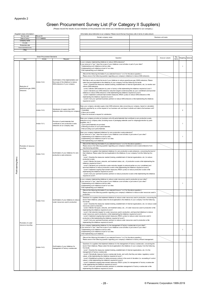Appendix 2

## **Appendix Creen Procurement Survey List (For Category II Suppliers)**

| <supplier's basic="" information=""></supplier's> |                  | <information about="" company="" deliveries="" our="" to=""> Please record the top 5 business units in terms of sales amount.</information> |                    |  |
|---------------------------------------------------|------------------|---------------------------------------------------------------------------------------------------------------------------------------------|--------------------|--|
| Survey year                                       | <b>Fiscal XX</b> | Domain company name                                                                                                                         | Business unit name |  |
| Date of entry                                     | YYYY/MM/DD       |                                                                                                                                             |                    |  |
| Company name                                      |                  |                                                                                                                                             |                    |  |
| G code                                            |                  |                                                                                                                                             |                    |  |
| Production site                                   |                  |                                                                                                                                             |                    |  |
| Person responsible for entry                      |                  |                                                                                                                                             |                    |  |
| (Title)                                           |                  |                                                                                                                                             |                    |  |

| Green Procurement Standards |                                                   |               | Question                                                                                                                                                       | Answer column                                                                                                                                                                                                                                                                                                                                                                                                                                                                                                                                                                                                                                                                                                                                                                                                                                                                                                                                                                                                                                                                                                                                                                                                                                                                                                                                                                                                                                                                                                                                                                                                                                                                                                                                                                                                                                                                                                                                                                                                                                                                                                                                                                                                                                                                                                                                                                                                                                                                                                                                                                                                                                                                                                                                                                                                                                                                                                                                                                                                                                                                                                                                                                                                                                                                                                                                                                                                                                                                                                                                                                                                                                                                                                                                                                                                                                                                                                                                                                                                                                                                                                                                                                                                                                                                                                                                                                                                                                                                                                                                                                                                                                                                                                                                                                                                                                                                                                                                                                                                                                                                                                                                                                                                                                                                                                      | Key | Veighting Optional |                |  |
|-----------------------------|---------------------------------------------------|---------------|----------------------------------------------------------------------------------------------------------------------------------------------------------------|--------------------------------------------------------------------------------------------------------------------------------------------------------------------------------------------------------------------------------------------------------------------------------------------------------------------------------------------------------------------------------------------------------------------------------------------------------------------------------------------------------------------------------------------------------------------------------------------------------------------------------------------------------------------------------------------------------------------------------------------------------------------------------------------------------------------------------------------------------------------------------------------------------------------------------------------------------------------------------------------------------------------------------------------------------------------------------------------------------------------------------------------------------------------------------------------------------------------------------------------------------------------------------------------------------------------------------------------------------------------------------------------------------------------------------------------------------------------------------------------------------------------------------------------------------------------------------------------------------------------------------------------------------------------------------------------------------------------------------------------------------------------------------------------------------------------------------------------------------------------------------------------------------------------------------------------------------------------------------------------------------------------------------------------------------------------------------------------------------------------------------------------------------------------------------------------------------------------------------------------------------------------------------------------------------------------------------------------------------------------------------------------------------------------------------------------------------------------------------------------------------------------------------------------------------------------------------------------------------------------------------------------------------------------------------------------------------------------------------------------------------------------------------------------------------------------------------------------------------------------------------------------------------------------------------------------------------------------------------------------------------------------------------------------------------------------------------------------------------------------------------------------------------------------------------------------------------------------------------------------------------------------------------------------------------------------------------------------------------------------------------------------------------------------------------------------------------------------------------------------------------------------------------------------------------------------------------------------------------------------------------------------------------------------------------------------------------------------------------------------------------------------------------------------------------------------------------------------------------------------------------------------------------------------------------------------------------------------------------------------------------------------------------------------------------------------------------------------------------------------------------------------------------------------------------------------------------------------------------------------------------------------------------------------------------------------------------------------------------------------------------------------------------------------------------------------------------------------------------------------------------------------------------------------------------------------------------------------------------------------------------------------------------------------------------------------------------------------------------------------------------------------------------------------------------------------------------------------------------------------------------------------------------------------------------------------------------------------------------------------------------------------------------------------------------------------------------------------------------------------------------------------------------------------------------------------------------------------------------------------------------------------------------------------------------------------|-----|--------------------|----------------|--|
|                             | Item                                              | Article       |                                                                                                                                                                |                                                                                                                                                                                                                                                                                                                                                                                                                                                                                                                                                                                                                                                                                                                                                                                                                                                                                                                                                                                                                                                                                                                                                                                                                                                                                                                                                                                                                                                                                                                                                                                                                                                                                                                                                                                                                                                                                                                                                                                                                                                                                                                                                                                                                                                                                                                                                                                                                                                                                                                                                                                                                                                                                                                                                                                                                                                                                                                                                                                                                                                                                                                                                                                                                                                                                                                                                                                                                                                                                                                                                                                                                                                                                                                                                                                                                                                                                                                                                                                                                                                                                                                                                                                                                                                                                                                                                                                                                                                                                                                                                                                                                                                                                                                                                                                                                                                                                                                                                                                                                                                                                                                                                                                                                                                                                                                    |     | Items              |                |  |
|                             | Reduction of<br>greenhouse gas (GHG)<br>emissions |               | Confirmation of the implementation and<br>the scope of the initiatives to reduce<br>GHG emissions of your company                                              | your answer is "yes," does the scope of your initiatives cover all sites or part of your sites?<br>1. Implementing such initiatives at all our sites.<br>2. Implementing such initiatives at part of our sites.<br>3. Not implementing such initiatives.<br>(Record the follow ing information if you selected Answ er 1 or 2 for the above question.)                                                                                                                                                                                                                                                                                                                                                                                                                                                                                                                                                                                                                                                                                                                                                                                                                                                                                                                                                                                                                                                                                                                                                                                                                                                                                                                                                                                                                                                                                                                                                                                                                                                                                                                                                                                                                                                                                                                                                                                                                                                                                                                                                                                                                                                                                                                                                                                                                                                                                                                                                                                                                                                                                                                                                                                                                                                                                                                                                                                                                                                                                                                                                                                                                                                                                                                                                                                                                                                                                                                                                                                                                                                                                                                                                                                                                                                                                                                                                                                                                                                                                                                                                                                                                                                                                                                                                                                                                                                                                                                                                                                                                                                                                                                                                                                                                                                                                                                                                             |     |                    | -1             |  |
|                             |                                                   | Article 12-2) |                                                                                                                                                                | We'd like to ask you about the level of your initiatives to reduce greenhouse gas (GHG) emissions. Please<br>select the level applicable to the initiatives of your company from the follow ing five levels<br>Level 1: Examine the measures needed (training, establishment of internal organizations, etc.) to monitor and<br>reduce GHG emissions.<br>Level 2: Monitor GHG emissions by year or factory w hile implementing the initiatives required at Level 1.<br>Level 3: Declared your GHG emissions reduction target to external parties as your commitment and launched<br>initiatives to reduce GHG emissions w hile implementing the initiatives required at Level 2.<br>Level 4: Implement continued improvement measures (PDCA cycles) to reduce GHG emissions w hile<br>implementing the initiatives required at Level 3.<br>Level 5: Ask your upstream business partners to reduce GHG emissions w hile implementing the initiatives<br>required at Level 4.                                                                                                                                                                                                                                                                                                                                                                                                                                                                                                                                                                                                                                                                                                                                                                                                                                                                                                                                                                                                                                                                                                                                                                                                                                                                                                                                                                                                                                                                                                                                                                                                                                                                                                                                                                                                                                                                                                                                                                                                                                                                                                                                                                                                                                                                                                                                                                                                                                                                                                                                                                                                                                                                                                                                                                                                                                                                                                                                                                                                                                                                                                                                                                                                                                                                                                                                                                                                                                                                                                                                                                                                                                                                                                                                                                                                                                                                                                                                                                                                                                                                                                                                                                                                                                                                                                                                        |     |                    |                |  |
|                             |                                                   | Article 12-3) | Submission of supply chain GHG<br>emissions data concerning our company                                                                                        | Does your company calculate supply chain GHG emissions data concerning our company, based on calculation<br>methods specified by us, at the request of our business unit, and does it submit such data to the business unit?<br>1.Submitted<br>2. Have yet to submit<br>3. Have not received a request for submission.                                                                                                                                                                                                                                                                                                                                                                                                                                                                                                                                                                                                                                                                                                                                                                                                                                                                                                                                                                                                                                                                                                                                                                                                                                                                                                                                                                                                                                                                                                                                                                                                                                                                                                                                                                                                                                                                                                                                                                                                                                                                                                                                                                                                                                                                                                                                                                                                                                                                                                                                                                                                                                                                                                                                                                                                                                                                                                                                                                                                                                                                                                                                                                                                                                                                                                                                                                                                                                                                                                                                                                                                                                                                                                                                                                                                                                                                                                                                                                                                                                                                                                                                                                                                                                                                                                                                                                                                                                                                                                                                                                                                                                                                                                                                                                                                                                                                                                                                                                                             |     |                    | $\overline{2}$ |  |
|                             |                                                   | Article 13-1) | Provision of parts/materials that<br>contribute to zero production w aste<br>emissions at our company sites                                                    | Does your company provide our business unit with parts/materials that contribute to zero production w aste<br>emissions at our company sites (including reuse of packaging materials used for shipping/protection by parts<br>suppliers, etc.)?<br>1. Such parts/materials are provided.<br>2. Planning provision of such parts/materials.<br>3. Not providing such parts/materials.                                                                                                                                                                                                                                                                                                                                                                                                                                                                                                                                                                                                                                                                                                                                                                                                                                                                                                                                                                                                                                                                                                                                                                                                                                                                                                                                                                                                                                                                                                                                                                                                                                                                                                                                                                                                                                                                                                                                                                                                                                                                                                                                                                                                                                                                                                                                                                                                                                                                                                                                                                                                                                                                                                                                                                                                                                                                                                                                                                                                                                                                                                                                                                                                                                                                                                                                                                                                                                                                                                                                                                                                                                                                                                                                                                                                                                                                                                                                                                                                                                                                                                                                                                                                                                                                                                                                                                                                                                                                                                                                                                                                                                                                                                                                                                                                                                                                                                                               |     |                    | -1             |  |
|                             |                                                   |               |                                                                                                                                                                | Request<br>s your company implementing initiatives to reduce GHG emissions?<br>Please answ er the follow ing question regarding your company's initiatives to reduce GHG emissions.<br>Does your company implement initiatives for zero production w aste emissions?<br>f your answ er is "yes," does the scope of your initiatives cover all sites or just some of your sites?<br>1. Implementing such initiatives at all our sites.<br>2. Implementing such initiatives at part of our sites.<br>3. Not implementing such initiatives.<br>(Record the follow ing information if you selected Answ er 1 or 2 for the above question.)<br>Please answ er the follow ing question regarding your company's initiatives to zero w aste emissions from<br>manufacturing activities.<br>Questions for suppliers that implement initiatives for zero production w aste emissions, concerning the level of<br>their initiatives; Please select the level applicable to the initiatives of your company from the follow ing five<br>levels.<br>Level 1: Examine the measures needed (training, establishment of internal organizations, etc.) to reduce<br>production w aste.<br>Level 2: Monitor the types, amounts, and treatment status, etc., of production w aste w hile implementing the<br>initiatives required at Level 1.<br>Level 3: Declared your production w aste reduction targets to external parties as your commitment and<br>launched initiatives to reduce production w aste w hile implementing the initiatives required at Level 2.<br>Level 4: Implement ongoing improvement measures (PDCA cycles) to reduce production w aste w hile<br>implementing the initiatives required at Level 3.<br>Level 5: Ask your upstream business partners to reduce production w aste w hile implementing the initiatives<br>required at Level 4.<br>s your company implementing initiatives to reduce w ater resources used in production at your sites?<br>f your answ er is "yes," does the scope of your initiatives cover all sites or just some of your sites?<br>1. Implementing such initiatives at all our sites.<br>2. Implementing such initiatives at part of our sites.<br>3. Not implementing such initiatives.<br>(Record the follow ing information if you selected Answ er 1 or 2 for the above question.)<br>Please answ er the follow ing question regarding your company's initiatives to reduce w ater resources used in<br>production.<br>Questions for suppliers that implement initiatives to reduce water resources used in production, concerning the<br>level of their initiatives; please select the level applicable to the initiatives of your company from the follow ing<br>five levels.<br>Level 1: Examine the measures needed (training, establishment of internal organizations, etc.) to reduce water<br>resources used in production.<br>Level 2: Monitor the types, amounts, and treatment status, etc., of w ater resources used in production w hile<br>implementing the initiatives required at Level 1.<br>Level 3: Set reduction targets for w ater resources used in production, and launched initiatives to reduce<br>w ater resources used in production, w hile implementing the initiatives required at Level 2.<br>Level 4: Implement ongoing improvement measures (PDCA cycles) to reduce water resources used in<br>production w hile implementing the initiatives required at Level 3.<br>Level 5: Ask your upstream business partners to reduce w ater resources used in production w hile<br>implementing the initiatives required at Level 4.<br>s your company implementing initiatives for the management of factory w astew ater at your sites?<br>f your answ er is "yes," does the scope of your initiatives cover all sites or just some of your sites?<br>1. Implementing such initiatives at all our sites.<br>2. Implementing such initiatives at part of our sites.<br>3. Not implementing such initiatives.<br>(Record the follow ing information if you selected Answ er 1 or 2 for the above question.)<br>Please answ er the follow ing question regarding your company's initiatives to factory effluent management.<br>Questions for suppliers that implement initiatives for the management of factory w astew ater, concerning the<br>level of their initiatives; Please select the level applicable to the initiatives of your company from the follow ing<br>five levels.<br>Level 1: Examine the measures needed (training, establishment of internal organizations, etc.) for the<br>management of factory w astew ater.<br>Level 2: Periodically measure factory w astew ater levels, and verify that they are below regulatory control<br>values, w hile implementing the initiatives required at Level 1.<br>Level 3: Established systems for taking necessary actions in the event of deviation (i.e. exceeding of control<br>values), w hile implementing the initiatives required at Level 2.<br>Level 4: Implement ongoing improvement measures (PDCA cycles) for management of factory w astew ater<br>w hile implementing the initiatives required at Level 3.<br>Level 5: Ask your upstream business partners to undertake management of factory w astew ater w hile<br>implementing the initiatives required at Level 4. |     |                    | -1             |  |
|                             | Promotion of resource<br>recycling                |               |                                                                                                                                                                |                                                                                                                                                                                                                                                                                                                                                                                                                                                                                                                                                                                                                                                                                                                                                                                                                                                                                                                                                                                                                                                                                                                                                                                                                                                                                                                                                                                                                                                                                                                                                                                                                                                                                                                                                                                                                                                                                                                                                                                                                                                                                                                                                                                                                                                                                                                                                                                                                                                                                                                                                                                                                                                                                                                                                                                                                                                                                                                                                                                                                                                                                                                                                                                                                                                                                                                                                                                                                                                                                                                                                                                                                                                                                                                                                                                                                                                                                                                                                                                                                                                                                                                                                                                                                                                                                                                                                                                                                                                                                                                                                                                                                                                                                                                                                                                                                                                                                                                                                                                                                                                                                                                                                                                                                                                                                                                    |     |                    |                |  |
| Point-earning items         |                                                   | Article 13-2) | Confirmation of your initiatives for zero<br>production w aste emissions                                                                                       |                                                                                                                                                                                                                                                                                                                                                                                                                                                                                                                                                                                                                                                                                                                                                                                                                                                                                                                                                                                                                                                                                                                                                                                                                                                                                                                                                                                                                                                                                                                                                                                                                                                                                                                                                                                                                                                                                                                                                                                                                                                                                                                                                                                                                                                                                                                                                                                                                                                                                                                                                                                                                                                                                                                                                                                                                                                                                                                                                                                                                                                                                                                                                                                                                                                                                                                                                                                                                                                                                                                                                                                                                                                                                                                                                                                                                                                                                                                                                                                                                                                                                                                                                                                                                                                                                                                                                                                                                                                                                                                                                                                                                                                                                                                                                                                                                                                                                                                                                                                                                                                                                                                                                                                                                                                                                                                    |     |                    |                |  |
|                             |                                                   |               |                                                                                                                                                                |                                                                                                                                                                                                                                                                                                                                                                                                                                                                                                                                                                                                                                                                                                                                                                                                                                                                                                                                                                                                                                                                                                                                                                                                                                                                                                                                                                                                                                                                                                                                                                                                                                                                                                                                                                                                                                                                                                                                                                                                                                                                                                                                                                                                                                                                                                                                                                                                                                                                                                                                                                                                                                                                                                                                                                                                                                                                                                                                                                                                                                                                                                                                                                                                                                                                                                                                                                                                                                                                                                                                                                                                                                                                                                                                                                                                                                                                                                                                                                                                                                                                                                                                                                                                                                                                                                                                                                                                                                                                                                                                                                                                                                                                                                                                                                                                                                                                                                                                                                                                                                                                                                                                                                                                                                                                                                                    |     |                    | $\overline{1}$ |  |
|                             |                                                   |               |                                                                                                                                                                |                                                                                                                                                                                                                                                                                                                                                                                                                                                                                                                                                                                                                                                                                                                                                                                                                                                                                                                                                                                                                                                                                                                                                                                                                                                                                                                                                                                                                                                                                                                                                                                                                                                                                                                                                                                                                                                                                                                                                                                                                                                                                                                                                                                                                                                                                                                                                                                                                                                                                                                                                                                                                                                                                                                                                                                                                                                                                                                                                                                                                                                                                                                                                                                                                                                                                                                                                                                                                                                                                                                                                                                                                                                                                                                                                                                                                                                                                                                                                                                                                                                                                                                                                                                                                                                                                                                                                                                                                                                                                                                                                                                                                                                                                                                                                                                                                                                                                                                                                                                                                                                                                                                                                                                                                                                                                                                    |     |                    |                |  |
|                             | Promotion of water<br>resource recycling          | Article 14-2) |                                                                                                                                                                |                                                                                                                                                                                                                                                                                                                                                                                                                                                                                                                                                                                                                                                                                                                                                                                                                                                                                                                                                                                                                                                                                                                                                                                                                                                                                                                                                                                                                                                                                                                                                                                                                                                                                                                                                                                                                                                                                                                                                                                                                                                                                                                                                                                                                                                                                                                                                                                                                                                                                                                                                                                                                                                                                                                                                                                                                                                                                                                                                                                                                                                                                                                                                                                                                                                                                                                                                                                                                                                                                                                                                                                                                                                                                                                                                                                                                                                                                                                                                                                                                                                                                                                                                                                                                                                                                                                                                                                                                                                                                                                                                                                                                                                                                                                                                                                                                                                                                                                                                                                                                                                                                                                                                                                                                                                                                                                    |     |                    |                |  |
|                             |                                                   |               |                                                                                                                                                                |                                                                                                                                                                                                                                                                                                                                                                                                                                                                                                                                                                                                                                                                                                                                                                                                                                                                                                                                                                                                                                                                                                                                                                                                                                                                                                                                                                                                                                                                                                                                                                                                                                                                                                                                                                                                                                                                                                                                                                                                                                                                                                                                                                                                                                                                                                                                                                                                                                                                                                                                                                                                                                                                                                                                                                                                                                                                                                                                                                                                                                                                                                                                                                                                                                                                                                                                                                                                                                                                                                                                                                                                                                                                                                                                                                                                                                                                                                                                                                                                                                                                                                                                                                                                                                                                                                                                                                                                                                                                                                                                                                                                                                                                                                                                                                                                                                                                                                                                                                                                                                                                                                                                                                                                                                                                                                                    |     |                    | -1             |  |
|                             |                                                   |               |                                                                                                                                                                |                                                                                                                                                                                                                                                                                                                                                                                                                                                                                                                                                                                                                                                                                                                                                                                                                                                                                                                                                                                                                                                                                                                                                                                                                                                                                                                                                                                                                                                                                                                                                                                                                                                                                                                                                                                                                                                                                                                                                                                                                                                                                                                                                                                                                                                                                                                                                                                                                                                                                                                                                                                                                                                                                                                                                                                                                                                                                                                                                                                                                                                                                                                                                                                                                                                                                                                                                                                                                                                                                                                                                                                                                                                                                                                                                                                                                                                                                                                                                                                                                                                                                                                                                                                                                                                                                                                                                                                                                                                                                                                                                                                                                                                                                                                                                                                                                                                                                                                                                                                                                                                                                                                                                                                                                                                                                                                    |     |                    |                |  |
|                             |                                                   | Article 14-3) | Confirmation of your initiatives to reduce<br>water resources used in production<br>Confirmation of your initiatives for<br>management of factory w astew ater |                                                                                                                                                                                                                                                                                                                                                                                                                                                                                                                                                                                                                                                                                                                                                                                                                                                                                                                                                                                                                                                                                                                                                                                                                                                                                                                                                                                                                                                                                                                                                                                                                                                                                                                                                                                                                                                                                                                                                                                                                                                                                                                                                                                                                                                                                                                                                                                                                                                                                                                                                                                                                                                                                                                                                                                                                                                                                                                                                                                                                                                                                                                                                                                                                                                                                                                                                                                                                                                                                                                                                                                                                                                                                                                                                                                                                                                                                                                                                                                                                                                                                                                                                                                                                                                                                                                                                                                                                                                                                                                                                                                                                                                                                                                                                                                                                                                                                                                                                                                                                                                                                                                                                                                                                                                                                                                    |     |                    |                |  |

(Please record the results of your initiatives at the production site where you manufacture products delivered to our company.)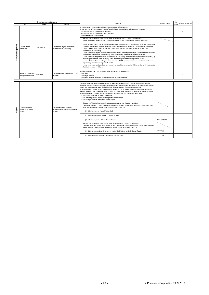- 29 - © Panasonic Corporation 1999-2019

| Green Procurement Standards |                                               |                                                                                                                                                                                                                                                                                                                                                                | Question                                                             | Answer column                                                                                                                                                                                                                                                                                                                                                                                                                                                                                                                                                                                                                                                                                                                                                                                                                                                                                                                                                                                                                                                                                                                                           | Key        |                | Weighting Optional |     |
|-----------------------------|-----------------------------------------------|----------------------------------------------------------------------------------------------------------------------------------------------------------------------------------------------------------------------------------------------------------------------------------------------------------------------------------------------------------------|----------------------------------------------------------------------|---------------------------------------------------------------------------------------------------------------------------------------------------------------------------------------------------------------------------------------------------------------------------------------------------------------------------------------------------------------------------------------------------------------------------------------------------------------------------------------------------------------------------------------------------------------------------------------------------------------------------------------------------------------------------------------------------------------------------------------------------------------------------------------------------------------------------------------------------------------------------------------------------------------------------------------------------------------------------------------------------------------------------------------------------------------------------------------------------------------------------------------------------------|------------|----------------|--------------------|-----|
|                             | Item                                          | Article                                                                                                                                                                                                                                                                                                                                                        | Request                                                              |                                                                                                                                                                                                                                                                                                                                                                                                                                                                                                                                                                                                                                                                                                                                                                                                                                                                                                                                                                                                                                                                                                                                                         |            | ttems          |                    |     |
|                             |                                               | f your answ er is "yes," does the scope of your initiatives cover all sites or just some of your sites?<br>1. Implementing such initiatives at all our sites.<br>2. Implementing such initiatives at part of our sites.<br>3. Not implementing such initiatives.<br>(Record the follow ing information if you selected Answ er 1 or 2 for the above question.) |                                                                      | s your company implementing initiatives for conservation of biodiversity?                                                                                                                                                                                                                                                                                                                                                                                                                                                                                                                                                                                                                                                                                                                                                                                                                                                                                                                                                                                                                                                                               |            |                | -1                 |     |
|                             |                                               |                                                                                                                                                                                                                                                                                                                                                                |                                                                      | Please answ er the follow ing question regarding your company's initiatives to conserve biodiversity.                                                                                                                                                                                                                                                                                                                                                                                                                                                                                                                                                                                                                                                                                                                                                                                                                                                                                                                                                                                                                                                   |            | $\overline{2}$ |                    |     |
| Point-earning items         | Conservation of<br>biodiversity               | Article 15-2)                                                                                                                                                                                                                                                                                                                                                  | Confirmation of your initiatives for<br>conservation of biodiversity | Questions for suppliers that implement initiatives for conservation of biodiversity, concerning the level of their<br>initiatives; Please select the level applicable to the initiatives of your company from the follow ing five levels.<br>Level 1: Examine the measures needed (training, establishment of internal organizations, etc.) for<br>conservation of biodiversity.<br>Level 2: Declared targets for biodiversity conservation to external parties as your commitment and launched<br>initiatives for conservation of biodiversity, while implementing the initiatives required at Level 1.<br>Level 3: Implementing initiatives for conservation of biodiversity in collaboration with other stakeholders (e.g.<br>municipal governments, NPOs, experts), w hile implementing the initiatives required at Level 2.<br>Level 4: Implement continued improvement measures (PDCA cycles) for conservation of biodiversity, w hile<br>implementing the initiatives required at Level 3.<br>Level 5: Ask your upstream business partners to undertake conservation of biodiversity, while implementing<br>the initiatives required at Level 4. |            |                |                    |     |
|                             | Sharing achievements<br>through collaboration | Article 16                                                                                                                                                                                                                                                                                                                                                     | Confirmation of enrollment in ECO-VC<br>activities                   | Have you enrolled in ECO-VC activities, at the request of our business unit?<br>1. Enrolled.<br>2. Have yet to enroll.<br>3. Have not received a request for enrollment from your business unit.                                                                                                                                                                                                                                                                                                                                                                                                                                                                                                                                                                                                                                                                                                                                                                                                                                                                                                                                                        |            |                |                    |     |
|                             |                                               |                                                                                                                                                                                                                                                                                                                                                                |                                                                      |                                                                                                                                                                                                                                                                                                                                                                                                                                                                                                                                                                                                                                                                                                                                                                                                                                                                                                                                                                                                                                                                                                                                                         |            |                |                    |     |
|                             |                                               |                                                                                                                                                                                                                                                                                                                                                                |                                                                      | We'd like to ask you about your ISO9001 certification status. Please select the applicable answ er from the<br>follow ing options. In cases w here multiple departments of your company are trading with our company, please<br>select one of them, and answ er the ISO9001 certification status of the selected department.<br>In the case w here your company delivers to our company or other companies parts/materials that pertain to<br>medical devices, it is acceptable to read "ISO9001" in the follow ing questions as "ISO13485", w hich stipulates<br>quality management systems for medical devices, and to answ er those questions accordingly.<br>1. You have obtained the ISO19001 certification.<br>2. You are taking actions tow ard obtaining ISO9001 certification.<br>3. You have yet to obtain the ISO19001 certification.                                                                                                                                                                                                                                                                                                        |            |                |                    |     |
|                             | Establishment of a                            |                                                                                                                                                                                                                                                                                                                                                                | Confirmation of the status of                                        | (Record the follow ing information if you selected Answ er 1 for the above question.)<br>If you have obtained ISO9001 certification, please also answ er the follow ing questions. Please enter your<br>answer in the answer column for each question from (1) to (3).                                                                                                                                                                                                                                                                                                                                                                                                                                                                                                                                                                                                                                                                                                                                                                                                                                                                                  |            |                |                    |     |
| Others                      | quality management<br>system                  |                                                                                                                                                                                                                                                                                                                                                                | establishment of a quality management<br>system                      | (1) Enter the name of the certification body.                                                                                                                                                                                                                                                                                                                                                                                                                                                                                                                                                                                                                                                                                                                                                                                                                                                                                                                                                                                                                                                                                                           |            |                |                    |     |
|                             |                                               |                                                                                                                                                                                                                                                                                                                                                                |                                                                      | (2) Enter the registration number of the certification.                                                                                                                                                                                                                                                                                                                                                                                                                                                                                                                                                                                                                                                                                                                                                                                                                                                                                                                                                                                                                                                                                                 |            |                |                    |     |
|                             |                                               |                                                                                                                                                                                                                                                                                                                                                                |                                                                      | (3) Enter the expiration date of the certification.                                                                                                                                                                                                                                                                                                                                                                                                                                                                                                                                                                                                                                                                                                                                                                                                                                                                                                                                                                                                                                                                                                     | YYYY/MM/DD |                |                    |     |
|                             |                                               |                                                                                                                                                                                                                                                                                                                                                                |                                                                      | (Record the follow ing information if you selected Answ er 2 for the above question.)<br>If you are taking actions tow ard obtaining ISO9001 certification, please also answ er the following questions.<br>Please enter your answ er in the answ er column for each question from $(1)$ to $(2)$ .                                                                                                                                                                                                                                                                                                                                                                                                                                                                                                                                                                                                                                                                                                                                                                                                                                                     |            |                |                    |     |
|                             |                                               |                                                                                                                                                                                                                                                                                                                                                                |                                                                      | (1) Enter the year and month w hen you started the initiatives to obtain the certification.                                                                                                                                                                                                                                                                                                                                                                                                                                                                                                                                                                                                                                                                                                                                                                                                                                                                                                                                                                                                                                                             | YYYY/MM    |                |                    |     |
|                             |                                               |                                                                                                                                                                                                                                                                                                                                                                |                                                                      | (2) Enter the scheduled year and month of the certification.                                                                                                                                                                                                                                                                                                                                                                                                                                                                                                                                                                                                                                                                                                                                                                                                                                                                                                                                                                                                                                                                                            | YYYY/MM    |                |                    | Opt |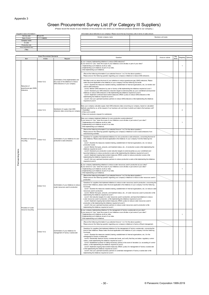Appendix 3

## **Appendix Creen Procurement Survey List (For Category III Suppliers)**

| <supplier's basic="" information=""></supplier's> |           | <information about="" company="" deliveries="" our="" to=""> Please record the top 5 business units in terms of sales amount.</information> |                    |
|---------------------------------------------------|-----------|---------------------------------------------------------------------------------------------------------------------------------------------|--------------------|
| Survey year                                       | Fiscal XX | Domain company name                                                                                                                         | Business unit name |
| Date of entry                                     | YYYY/MWDD |                                                                                                                                             |                    |
| Company name                                      |           |                                                                                                                                             |                    |
| G code                                            |           |                                                                                                                                             |                    |
| Production site                                   |           |                                                                                                                                             |                    |
| Person responsible for entry                      |           |                                                                                                                                             |                    |
| (Title)                                           |           |                                                                                                                                             |                    |

| Green Procurement Standards |                                                   |               | Question                                                                                                          | Answ er column                                                                                                                                                                                                                                                                                                                                                                                                                                                                                                                                                                                                                                                                                                                                                                                                                                                                                                                                                                                                                                                                                                                     | Key | Neighting | Optional       |  |
|-----------------------------|---------------------------------------------------|---------------|-------------------------------------------------------------------------------------------------------------------|------------------------------------------------------------------------------------------------------------------------------------------------------------------------------------------------------------------------------------------------------------------------------------------------------------------------------------------------------------------------------------------------------------------------------------------------------------------------------------------------------------------------------------------------------------------------------------------------------------------------------------------------------------------------------------------------------------------------------------------------------------------------------------------------------------------------------------------------------------------------------------------------------------------------------------------------------------------------------------------------------------------------------------------------------------------------------------------------------------------------------------|-----|-----------|----------------|--|
|                             | Item                                              | Article       | Request                                                                                                           | Is your company implementing initiatives to reduce GHG emissions?                                                                                                                                                                                                                                                                                                                                                                                                                                                                                                                                                                                                                                                                                                                                                                                                                                                                                                                                                                                                                                                                  |     |           |                |  |
|                             |                                                   |               |                                                                                                                   | If your answ er is "yes," does the scope of your initiatives cover all sites or part of your sites?<br>1. Implementing such initiatives at all our sites.<br>2. Implementing such initiatives at part of our sites.<br>3. Not implementing such initiatives.                                                                                                                                                                                                                                                                                                                                                                                                                                                                                                                                                                                                                                                                                                                                                                                                                                                                       |     |           |                |  |
|                             |                                                   |               |                                                                                                                   | (Record the follow ing information if you selected Answer 1 or 2 for the above question.)<br>Please answ er the follow ing question regarding your company's initiatives to reduce GHG emissions.                                                                                                                                                                                                                                                                                                                                                                                                                                                                                                                                                                                                                                                                                                                                                                                                                                                                                                                                  |     |           |                |  |
|                             | Reduction of<br>greenhouse gas (GHG)<br>emissions | Article 12-2) | Confirmation of the implementation and<br>the scope of the initiatives to reduce<br>GHG emissions of your company | We'd like to ask you about the level of your initiatives to reduce greenhouse gas (GHG) emissions. Please<br>select the level applicable to the initiatives of your company from the follow ing five levels<br>Level 1: Examine the measures needed (training, establishment of internal organizations, etc.) to monitor and<br>reduce GHG emissions.<br>Level 2: Monitor GHG emissions by year or factory while implementing the initiatives required at Level 1.<br>Level 3: Declared your GHG emissions reduction target to external parties as your commitment and launched<br>initiatives to reduce GHG emissions w hile implementing the initiatives required at Level 2.<br>Level 4: Implement continued improvement measures (PDCA cycles) to reduce GHG emissions w hile<br>implementing the initiatives required at Level 3.<br>Level 5: Ask your upstream business partners to reduce GHG emissions while implementing the initiatives<br>required at Level 4.                                                                                                                                                          |     |           |                |  |
|                             |                                                   | Article 12-3) | Submission of supply chain GHG<br>emissions data concerning our company                                           | Does your company calculate supply chain GHG emissions data concerning our company, based on calculation<br>methods specified by us, at the request of our business unit, and does it submit such data to the business unit?<br>1.Submitted<br>2. Have yet to submit<br>3. Have not received a request for submission.                                                                                                                                                                                                                                                                                                                                                                                                                                                                                                                                                                                                                                                                                                                                                                                                             |     |           | $\overline{2}$ |  |
|                             |                                                   |               |                                                                                                                   | Does your company implement initiatives for zero production waste emissions?<br>If your answ er is "yes," does the scope of your initiatives cover all sites or just some of your sites?<br>1. Implementing such initiatives at all our sites.<br>2. Implementing such initiatives at part of our sites.<br>3. Not implementing such initiatives.                                                                                                                                                                                                                                                                                                                                                                                                                                                                                                                                                                                                                                                                                                                                                                                  |     |           |                |  |
|                             |                                                   |               |                                                                                                                   | (Record the follow ing information if you selected Answer 1 or 2 for the above question.)<br>Please answ er the follow ing question regarding your company's initiatives to zero w aste emissions from<br>manufacturing activities.                                                                                                                                                                                                                                                                                                                                                                                                                                                                                                                                                                                                                                                                                                                                                                                                                                                                                                |     | Items     |                |  |
| Point-earning items         | Promotion of resource<br>recycling                | Article 13-2) | Confirmation of your initiatives for zero<br>production w aste emissions                                          | Questions for suppliers that implement initiatives for zero production w aste emissions, concerning the level of<br>their initiatives; Please select the level applicable to the initiatives of your company from the follow ing five<br>levels<br>Level 1: Examine the measures needed (training, establishment of internal organizations, etc.) to reduce<br>production w aste.<br>Level 2: Monitor the types, amounts, and treatment status, etc., of production w aste w hile implementing the<br>initiatives required at Level 1.<br>Level 3: Declared your production w aste reduction targets to external parties as your commitment and<br>launched initiatives to reduce production w aste w hile implementing the initiatives required at Level 2.<br>Level 4: Implement ongoing improvement measures (PDCA cycles) to reduce production w aste w hile<br>implementing the initiatives required at Level 3.<br>Level 5: Ask your upstream business partners to reduce production w aste w hile implementing the initiatives<br>required at Level 4.                                                                      |     |           |                |  |
|                             |                                                   |               |                                                                                                                   | Is your company implementing initiatives to reduce water resources used in production at your sites?<br>If your answ er is "yes," does the scope of your initiatives cover all sites or just some of your sites?<br>1. Implementing such initiatives at all our sites.<br>2. Implementing such initiatives at part of our sites.<br>3. Not implementing such initiatives.<br>(Record the follow ing information if you selected Answer 1 or 2 for the above question.)                                                                                                                                                                                                                                                                                                                                                                                                                                                                                                                                                                                                                                                             |     |           |                |  |
|                             |                                                   |               |                                                                                                                   | Please answ er the follow ing question regarding your company's initiatives to reduce w ater resources used in<br>production.                                                                                                                                                                                                                                                                                                                                                                                                                                                                                                                                                                                                                                                                                                                                                                                                                                                                                                                                                                                                      |     |           |                |  |
|                             | Promotion of water                                | Article 14-2) | Confirmation of your initiatives to reduce<br>w ater resources used in production                                 | Questions for suppliers that implement initiatives to reduce w ater resources used in production, concerning the<br>level of their initiatives; please select the level applicable to the initiatives of your company from the following<br>five levels.<br>Level 1: Examine the measures needed (training, establishment of internal organizations, etc.) to reduce w ater<br>resources used in production.<br>Level 2: Monitor the types, amounts, and treatment status, etc., of water resources used in production while<br>implementing the initiatives required at Level 1.<br>Level 3: Set reduction targets for w ater resources used in production, and launched initiatives to reduce<br>w ater resources used in production, while implementing the initiatives required at Level 2.<br>Level 4: Implement ongoing improvement measures (PDCA cycles) to reduce w ater resources used in<br>production w hile implementing the initiatives required at Level 3.<br>Level 5: Ask your upstream business partners to reduce water resources used in production while<br>implementing the initiatives required at Level 4. |     |           |                |  |
|                             | resource recycling                                |               |                                                                                                                   | Is your company implementing initiatives for the management of factory w astew ater at your sites?<br>f your answ er is "yes," does the scope of your initiatives cover all sites or just some of your sites?<br>1. Implementing such initiatives at all our sites.<br>2. Implementing such initiatives at part of our sites.<br>3. Not implementing such initiatives.                                                                                                                                                                                                                                                                                                                                                                                                                                                                                                                                                                                                                                                                                                                                                             |     |           |                |  |
|                             |                                                   |               |                                                                                                                   | (Record the follow ing information if you selected Answer 1 or 2 for the above question.)<br>Please answ er the follow ing question regarding your company's initiatives to factory effluent management.                                                                                                                                                                                                                                                                                                                                                                                                                                                                                                                                                                                                                                                                                                                                                                                                                                                                                                                           |     |           |                |  |
|                             |                                                   | Article 14-3) | Confirmation of your initiatives for<br>management of factory w astew ater                                        | Questions for suppliers that implement initiatives for the management of factory wastew ater, concerning the<br>level of their initiatives; Please select the level applicable to the initiatives of your company from the following<br>five levels.<br>Level 1: Examine the measures needed (training, establishment of internal organizations, etc.) for the<br>management of factory w astew ater.<br>Level 2: Periodically measure factory wastewater levels, and verify that they are below regulatory control<br>values, w hile implementing the initiatives required at Level 1.<br>Level 3: Established systems for taking necessary actions in the event of deviation (i.e. exceeding of control<br>values), while implementing the initiatives required at Level 2.<br>Level 4: Implement ongoing improvement measures (PDCA cycles) for management of factory wastew ater<br>w hile implementing the initiatives required at Level 3.<br>Level 5: Ask your upstream business partners to undertake management of factory w astew ater w hile<br>implementing the initiatives required at Level 4.                       |     |           |                |  |

(Please record the results of your initiatives at the production site where you manufacture products delivered to our company.)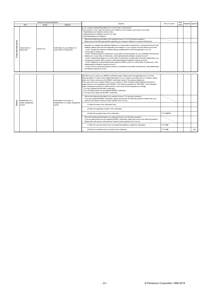- 31 - © Panasonic Corporation 1999-2019

| <b>Green Procurement Standards</b> |                                 |                                                                                                                                                                                                                                                                                                                                                                                                                                                                                                                                                                                                                                                                                                                                                                                                                                                  | Question                                                             | Answ er column                                                                                                                                                                                                                                                                                                                                                                                                                                                                                                                                                                                                                                                                                                                                                                                                                                                                                                                                                                                                                                                                                                                                         | Key                             |       | Weighting Optional |     |
|------------------------------------|---------------------------------|--------------------------------------------------------------------------------------------------------------------------------------------------------------------------------------------------------------------------------------------------------------------------------------------------------------------------------------------------------------------------------------------------------------------------------------------------------------------------------------------------------------------------------------------------------------------------------------------------------------------------------------------------------------------------------------------------------------------------------------------------------------------------------------------------------------------------------------------------|----------------------------------------------------------------------|--------------------------------------------------------------------------------------------------------------------------------------------------------------------------------------------------------------------------------------------------------------------------------------------------------------------------------------------------------------------------------------------------------------------------------------------------------------------------------------------------------------------------------------------------------------------------------------------------------------------------------------------------------------------------------------------------------------------------------------------------------------------------------------------------------------------------------------------------------------------------------------------------------------------------------------------------------------------------------------------------------------------------------------------------------------------------------------------------------------------------------------------------------|---------------------------------|-------|--------------------|-----|
|                                    | Item                            | Article                                                                                                                                                                                                                                                                                                                                                                                                                                                                                                                                                                                                                                                                                                                                                                                                                                          | Request                                                              |                                                                                                                                                                                                                                                                                                                                                                                                                                                                                                                                                                                                                                                                                                                                                                                                                                                                                                                                                                                                                                                                                                                                                        |                                 | Items |                    |     |
|                                    |                                 |                                                                                                                                                                                                                                                                                                                                                                                                                                                                                                                                                                                                                                                                                                                                                                                                                                                  |                                                                      | s your company implementing initiatives for conservation of biodiversity?<br>your answ er is "yes," does the scope of your initiatives cover all sites or just some of your sites?<br>1. Implementing such initiatives at all our sites.<br>2. Implementing such initiatives at part of our sites.<br>3. Not implementing such initiatives.                                                                                                                                                                                                                                                                                                                                                                                                                                                                                                                                                                                                                                                                                                                                                                                                            |                                 |       | 1                  |     |
|                                    |                                 |                                                                                                                                                                                                                                                                                                                                                                                                                                                                                                                                                                                                                                                                                                                                                                                                                                                  |                                                                      | (Record the follow ing information if you selected Answ er 1 or 2 for the above question.)<br>Please answ er the follow ing question regarding your company's initiatives to conserve biodiversity.                                                                                                                                                                                                                                                                                                                                                                                                                                                                                                                                                                                                                                                                                                                                                                                                                                                                                                                                                    |                                 |       |                    |     |
| Point-earning items                | Conservation of<br>biodiversity | Article 15-2)                                                                                                                                                                                                                                                                                                                                                                                                                                                                                                                                                                                                                                                                                                                                                                                                                                    | Confirmation of your initiatives for<br>conservation of biodiversity | Questions for suppliers that implement initiatives for conservation of biodiversity, concerning the level of their<br>initiatives; Please select the level applicable to the initiatives of your company from the follow ing five levels.<br>Level 1: Examine the measures needed (training, establishment of internal organizations, etc.) for<br>conservation of biodiversity.<br>Level 2: Declared targets for biodiversity conservation to external parties as your commitment and launched<br>initiatives for conservation of biodiversity, while implementing the initiatives required at Level 1.<br>Level 3: Implementing initiatives for conservation of biodiversity in collaboration with other stakeholders (e.g.<br>municipal governments, NPOs, experts), w hile implementing the initiatives required at Level 2.<br>Level 4: Implement continued improvement measures (PDCA cycles) for conservation of biodiversity, while<br>implementing the initiatives required at Level 3.<br>Level 5: Ask your upstream business partners to undertake conservation of biodiversity, while implementing<br>the initiatives required at Level 4. |                                 |       |                    |     |
|                                    |                                 |                                                                                                                                                                                                                                                                                                                                                                                                                                                                                                                                                                                                                                                                                                                                                                                                                                                  |                                                                      |                                                                                                                                                                                                                                                                                                                                                                                                                                                                                                                                                                                                                                                                                                                                                                                                                                                                                                                                                                                                                                                                                                                                                        |                                 |       |                    |     |
|                                    |                                 | We'd like to ask you about your ISO9001 certification status. Please select the applicable answ er from the<br>follow ing options. In cases w here multiple departments of your company are trading with our company, please<br>select one of them, and answ er the ISO9001 certification status of the selected department.<br>In the case w here your company delivers to our company or other companies parts/materials that pertain to<br>medical devices, it is acceptable to read "ISO9001" in the follow ing questions as "ISO13485", w hich stipulates<br>quality management systems for medical devices, and to answ er those questions accordingly.<br>1. You have obtained the ISO19001 certification.<br>2. You are taking actions tow ard obtaining ISO9001 certification.<br>3. You have yet to obtain the ISO19001 certification. |                                                                      |                                                                                                                                                                                                                                                                                                                                                                                                                                                                                                                                                                                                                                                                                                                                                                                                                                                                                                                                                                                                                                                                                                                                                        |                                 |       |                    |     |
|                                    | Establishment of a              |                                                                                                                                                                                                                                                                                                                                                                                                                                                                                                                                                                                                                                                                                                                                                                                                                                                  | Confirmation of the status of                                        | (Record the follow ing information if you selected Answ er 1 for the above question.)<br>If you have obtained ISO9001 certification, please also answ er the follow ing questions. Please enter your<br>answer in the answer column for each question from (1) to (3).                                                                                                                                                                                                                                                                                                                                                                                                                                                                                                                                                                                                                                                                                                                                                                                                                                                                                 |                                 |       |                    |     |
| Others                             | quality management<br>system    |                                                                                                                                                                                                                                                                                                                                                                                                                                                                                                                                                                                                                                                                                                                                                                                                                                                  | establishment of a quality management<br>system                      | (1) Enter the name of the certification body.                                                                                                                                                                                                                                                                                                                                                                                                                                                                                                                                                                                                                                                                                                                                                                                                                                                                                                                                                                                                                                                                                                          | YYYY/MWDD<br>YYYY/MM<br>YYYY/MM |       |                    |     |
|                                    |                                 |                                                                                                                                                                                                                                                                                                                                                                                                                                                                                                                                                                                                                                                                                                                                                                                                                                                  |                                                                      | (2) Enter the registration number of the certification.<br>(3) Enter the expiration date of the certification.                                                                                                                                                                                                                                                                                                                                                                                                                                                                                                                                                                                                                                                                                                                                                                                                                                                                                                                                                                                                                                         |                                 |       |                    |     |
|                                    |                                 |                                                                                                                                                                                                                                                                                                                                                                                                                                                                                                                                                                                                                                                                                                                                                                                                                                                  |                                                                      |                                                                                                                                                                                                                                                                                                                                                                                                                                                                                                                                                                                                                                                                                                                                                                                                                                                                                                                                                                                                                                                                                                                                                        |                                 |       |                    |     |
|                                    |                                 |                                                                                                                                                                                                                                                                                                                                                                                                                                                                                                                                                                                                                                                                                                                                                                                                                                                  |                                                                      | (Record the follow ing information if you selected Answ er 2 for the above question.)<br>If you are taking actions tow ard obtaining ISO9001 certification, please also answ er the follow ing questions.<br>Please enter your answ er in the answ er column for each question from $(1)$ to $(2)$ .                                                                                                                                                                                                                                                                                                                                                                                                                                                                                                                                                                                                                                                                                                                                                                                                                                                   |                                 |       |                    |     |
|                                    |                                 |                                                                                                                                                                                                                                                                                                                                                                                                                                                                                                                                                                                                                                                                                                                                                                                                                                                  |                                                                      | (1) Enter the year and month w hen you started the initiatives to obtain the certification.                                                                                                                                                                                                                                                                                                                                                                                                                                                                                                                                                                                                                                                                                                                                                                                                                                                                                                                                                                                                                                                            |                                 |       |                    |     |
|                                    |                                 |                                                                                                                                                                                                                                                                                                                                                                                                                                                                                                                                                                                                                                                                                                                                                                                                                                                  |                                                                      | (2) Enter the scheduled year and month of the certification.                                                                                                                                                                                                                                                                                                                                                                                                                                                                                                                                                                                                                                                                                                                                                                                                                                                                                                                                                                                                                                                                                           |                                 |       |                    | Opt |